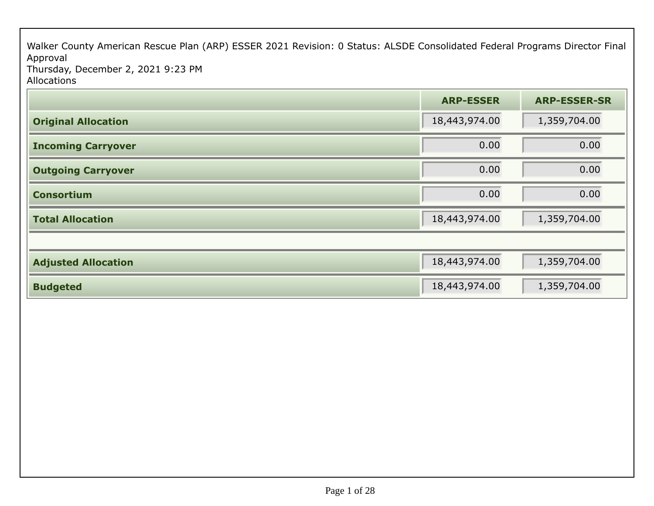Walker County American Rescue Plan (ARP) ESSER 2021 Revision: 0 Status: ALSDE Consolidated Federal Programs Director Final Approval Thursday, December 2, 2021 9:23 PM

Allocations

|                            | <b>ARP-ESSER</b> | <b>ARP-ESSER-SR</b> |
|----------------------------|------------------|---------------------|
| <b>Original Allocation</b> | 18,443,974.00    | 1,359,704.00        |
| <b>Incoming Carryover</b>  | 0.00             | 0.00                |
| <b>Outgoing Carryover</b>  | 0.00             | 0.00                |
| <b>Consortium</b>          | 0.00             | 0.00                |
| <b>Total Allocation</b>    | 18,443,974.00    | 1,359,704.00        |
|                            |                  |                     |
| <b>Adjusted Allocation</b> | 18,443,974.00    | 1,359,704.00        |
| <b>Budgeted</b>            | 18,443,974.00    | 1,359,704.00        |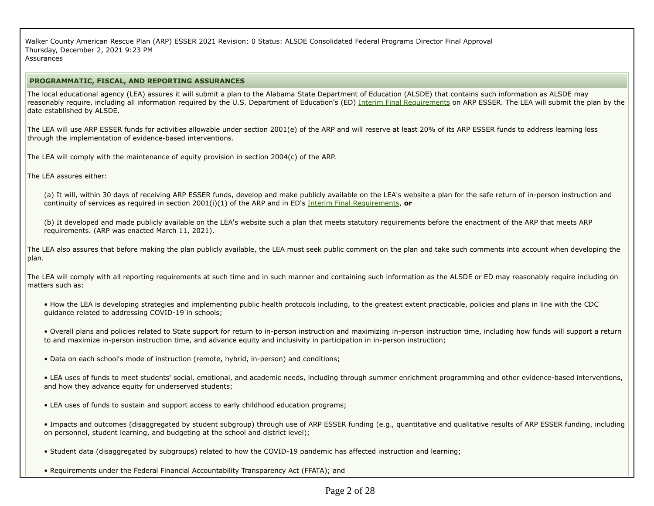Walker County American Rescue Plan (ARP) ESSER 2021 Revision: 0 Status: ALSDE Consolidated Federal Programs Director Final ApprovalThursday, December 2, 2021 9:23 PM**Assurances** 

### **PROGRAMMATIC, FISCAL, AND REPORTING ASSURANCES**

The local educational agency (LEA) assures it will submit a plan to the Alabama State Department of Education (ALSDE) that contains such information as ALSDE mayreasonably require, including all information required by the U.S. Department of Education's (ED) <u>Interim Final Requirements</u> on ARP ESSER. The LEA will submit the plan by the date established by ALSDE.

The LEA will use ARP ESSER funds for activities allowable under section 2001(e) of the ARP and will reserve at least 20% of its ARP ESSER funds to address learning lossthrough the implementation of evidence-based interventions.

The LEA will comply with the maintenance of equity provision in section 2004(c) of the ARP.

The LEA assures either:

(a) It will, within 30 days of receiving ARP ESSER funds, develop and make publicly available on the LEA's website a plan for the safe return of in-person instruction andcontinuity of services as required in section 2001(i)(1) of the ARP and in ED's Interim Final Requirements, **or**

(b) It developed and made publicly available on the LEA's website such a plan that meets statutory requirements before the enactment of the ARP that meets ARPrequirements. (ARP was enacted March 11, 2021).

The LEA also assures that before making the plan publicly available, the LEA must seek public comment on the plan and take such comments into account when developing theplan.

The LEA will comply with all reporting requirements at such time and in such manner and containing such information as the ALSDE or ED may reasonably require including on matters such as:

• How the LEA is developing strategies and implementing public health protocols including, to the greatest extent practicable, policies and plans in line with the CDCguidance related to addressing COVID-19 in schools;

• Overall plans and policies related to State support for return to in-person instruction and maximizing in-person instruction time, including how funds will support a returnto and maximize in-person instruction time, and advance equity and inclusivity in participation in in-person instruction;

• Data on each school's mode of instruction (remote, hybrid, in-person) and conditions;

• LEA uses of funds to meet students' social, emotional, and academic needs, including through summer enrichment programming and other evidence-based interventions,and how they advance equity for underserved students;

• LEA uses of funds to sustain and support access to early childhood education programs;

• Impacts and outcomes (disaggregated by student subgroup) through use of ARP ESSER funding (e.g., quantitative and qualitative results of ARP ESSER funding, includingon personnel, student learning, and budgeting at the school and district level);

• Student data (disaggregated by subgroups) related to how the COVID-19 pandemic has affected instruction and learning;

• Requirements under the Federal Financial Accountability Transparency Act (FFATA); and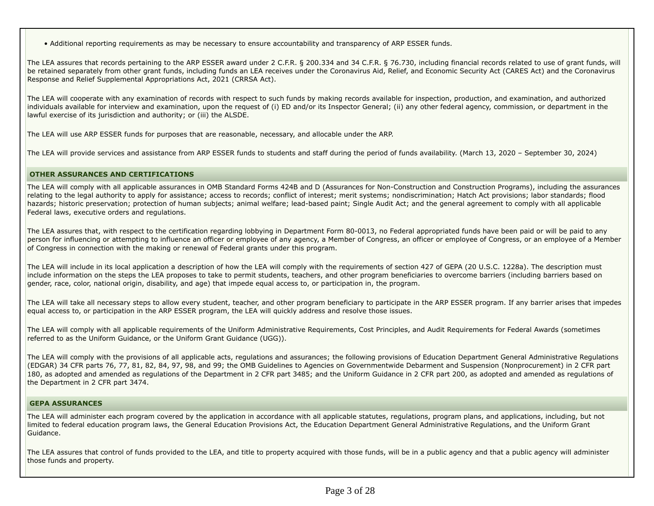• Additional reporting requirements as may be necessary to ensure accountability and transparency of ARP ESSER funds.

The LEA assures that records pertaining to the ARP ESSER award under 2 C.F.R. § 200.334 and 34 C.F.R. § 76.730, including financial records related to use of grant funds, willbe retained separately from other grant funds, including funds an LEA receives under the Coronavirus Aid, Relief, and Economic Security Act (CARES Act) and the CoronavirusResponse and Relief Supplemental Appropriations Act, 2021 (CRRSA Act).

The LEA will cooperate with any examination of records with respect to such funds by making records available for inspection, production, and examination, and authorized individuals available for interview and examination, upon the request of (i) ED and/or its Inspector General; (ii) any other federal agency, commission, or department in thelawful exercise of its jurisdiction and authority; or (iii) the ALSDE.

The LEA will use ARP ESSER funds for purposes that are reasonable, necessary, and allocable under the ARP.

The LEA will provide services and assistance from ARP ESSER funds to students and staff during the period of funds availability. (March 13, 2020 – September 30, 2024)

## **OTHER ASSURANCES AND CERTIFICATIONS**

The LEA will comply with all applicable assurances in OMB Standard Forms 424B and D (Assurances for Non-Construction and Construction Programs), including the assurancesrelating to the legal authority to apply for assistance; access to records; conflict of interest; merit systems; nondiscrimination; Hatch Act provisions; labor standards; flood hazards; historic preservation; protection of human subjects; animal welfare; lead-based paint; Single Audit Act; and the general agreement to comply with all applicableFederal laws, executive orders and regulations.

The LEA assures that, with respect to the certification regarding lobbying in Department Form 80-0013, no Federal appropriated funds have been paid or will be paid to any person for influencing or attempting to influence an officer or employee of any agency, a Member of Congress, an officer or employee of Congress, or an employee of a Memberof Congress in connection with the making or renewal of Federal grants under this program.

The LEA will include in its local application a description of how the LEA will comply with the requirements of section 427 of GEPA (20 U.S.C. 1228a). The description mustinclude information on the steps the LEA proposes to take to permit students, teachers, and other program beneficiaries to overcome barriers (including barriers based on gender, race, color, national origin, disability, and age) that impede equal access to, or participation in, the program.

The LEA will take all necessary steps to allow every student, teacher, and other program beneficiary to participate in the ARP ESSER program. If any barrier arises that impedesequal access to, or participation in the ARP ESSER program, the LEA will quickly address and resolve those issues.

The LEA will comply with all applicable requirements of the Uniform Administrative Requirements, Cost Principles, and Audit Requirements for Federal Awards (sometimesreferred to as the Uniform Guidance, or the Uniform Grant Guidance (UGG)).

The LEA will comply with the provisions of all applicable acts, regulations and assurances; the following provisions of Education Department General Administrative Regulations(EDGAR) 34 CFR parts 76, 77, 81, 82, 84, 97, 98, and 99; the OMB Guidelines to Agencies on Governmentwide Debarment and Suspension (Nonprocurement) in 2 CFR part 180, as adopted and amended as regulations of the Department in 2 CFR part 3485; and the Uniform Guidance in 2 CFR part 200, as adopted and amended as regulations ofthe Department in 2 CFR part 3474.

## **GEPA ASSURANCES**

The LEA will administer each program covered by the application in accordance with all applicable statutes, regulations, program plans, and applications, including, but notlimited to federal education program laws, the General Education Provisions Act, the Education Department General Administrative Regulations, and the Uniform GrantGuidance.

The LEA assures that control of funds provided to the LEA, and title to property acquired with those funds, will be in a public agency and that a public agency will administer those funds and property.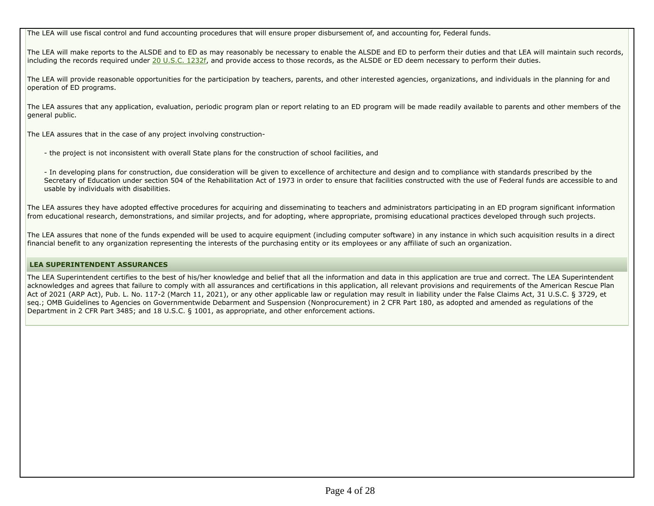The LEA will use fiscal control and fund accounting procedures that will ensure proper disbursement of, and accounting for, Federal funds.

The LEA will make reports to the ALSDE and to ED as may reasonably be necessary to enable the ALSDE and ED to perform their duties and that LEA will maintain such records,including the records required under 20 U.S.C. 1232f, and provide access to those records, as the ALSDE or ED deem necessary to perform their duties.

The LEA will provide reasonable opportunities for the participation by teachers, parents, and other interested agencies, organizations, and individuals in the planning for andoperation of ED programs.

The LEA assures that any application, evaluation, periodic program plan or report relating to an ED program will be made readily available to parents and other members of thegeneral public.

The LEA assures that in the case of any project involving construction-

- the project is not inconsistent with overall State plans for the construction of school facilities, and

- In developing plans for construction, due consideration will be given to excellence of architecture and design and to compliance with standards prescribed by the Secretary of Education under section 504 of the Rehabilitation Act of 1973 in order to ensure that facilities constructed with the use of Federal funds are accessible to andusable by individuals with disabilities.

The LEA assures they have adopted effective procedures for acquiring and disseminating to teachers and administrators participating in an ED program significant informationfrom educational research, demonstrations, and similar projects, and for adopting, where appropriate, promising educational practices developed through such projects.

The LEA assures that none of the funds expended will be used to acquire equipment (including computer software) in any instance in which such acquisition results in a directfinancial benefit to any organization representing the interests of the purchasing entity or its employees or any affiliate of such an organization.

# **LEA SUPERINTENDENT ASSURANCES**

The LEA Superintendent certifies to the best of his/her knowledge and belief that all the information and data in this application are true and correct. The LEA Superintendent acknowledges and agrees that failure to comply with all assurances and certifications in this application, all relevant provisions and requirements of the American Rescue PlanAct of 2021 (ARP Act), Pub. L. No. 117-2 (March 11, 2021), or any other applicable law or regulation may result in liability under the False Claims Act, 31 U.S.C. § 3729, etseq.; OMB Guidelines to Agencies on Governmentwide Debarment and Suspension (Nonprocurement) in 2 CFR Part 180, as adopted and amended as regulations of theDepartment in 2 CFR Part 3485; and 18 U.S.C. § 1001, as appropriate, and other enforcement actions.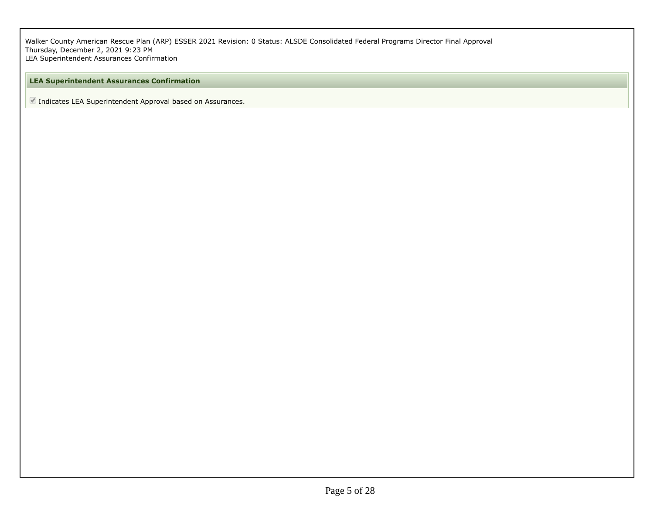Walker County American Rescue Plan (ARP) ESSER 2021 Revision: 0 Status: ALSDE Consolidated Federal Programs Director Final Approval Thursday, December 2, 2021 9:23 PMLEA Superintendent Assurances Confirmation

# **LEA Superintendent Assurances Confirmation**

■ Indicates LEA Superintendent Approval based on Assurances.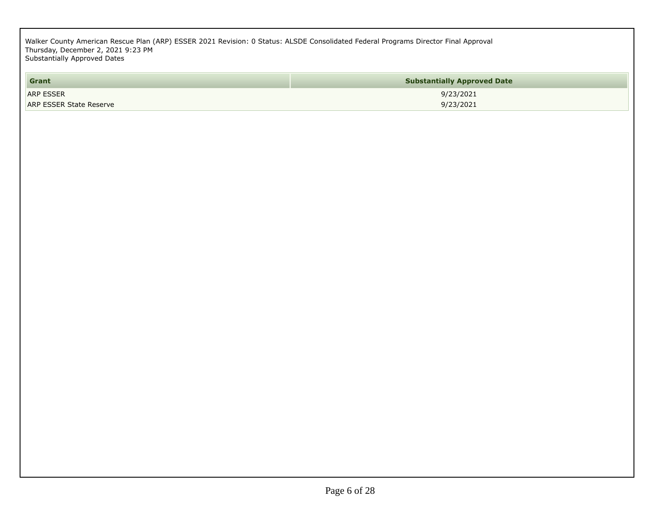Walker County American Rescue Plan (ARP) ESSER 2021 Revision: 0 Status: ALSDE Consolidated Federal Programs Director Final Approval Thursday, December 2, 2021 9:23 PMSubstantially Approved Dates

| Grant                          | <b>Substantially Approved Date</b> |
|--------------------------------|------------------------------------|
| <b>ARP ESSER</b>               | 9/23/2021                          |
| <b>ARP ESSER State Reserve</b> | 9/23/2021                          |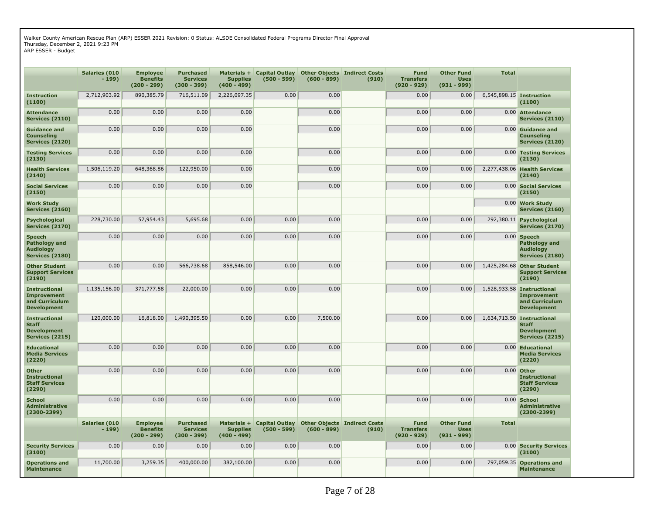Walker County American Rescue Plan (ARP) ESSER 2021 Revision: 0 Status: ALSDE Consolidated Federal Programs Director Final ApprovalThursday, December 2, 2021 9:23 PMARP ESSER - Budget

**Salaries (010- 199)Employee (200 - 299)Benefits**890,385.79 **Purchased (300 - 399)Services**716,511.09 **Materials +Capital OutlayOther ObjectsIndirect Costs (400 - 499)Supplies**2,226,097.35 **(500 - 599) (600 - 899) (910)Fund (920 - 929)Transfers** $0.00$ **Other Fund (931 - 999)Uses** $0.00$ **TotalInstruction(1100) Attendance**2,712,903.92 890,385.79 716,511.09 2,226,097.35 0.00 0.00 0.00 0.00 6,545,898.15 **Instruction(1100)**0.00 Attendance **Services (2110)**0.00 0.00 0.00 0.00 0.00 0.00 0.00 0.00 **Attendance Services (2110)Guidance and Services (2120)Counseling Testing Services**0.00 0.00 0.00 0.00 0.00 0.00 0.00 0.00 **Guidance and Services (2120)Counseling**0.00 Testing Services **(2130) Health Services**0.00 0.00 0.00 0.00 0.00 0.00 0.00 0.00 **Testing Services (2130)Health Services (2140) Social Services**1,506,119.20 648,368.86 122,950.00 0.00 0.00 0.00 0.00 2,277,438.06 **Health Services (2140)**0.00 Social Services **(2150) Work Study**0.00 0.00 0.00 0.00 0.00 0.00 0.00 0.00 **Social Services (2150)** 0.00 **Work Study Services (2160) Services (2160)Psychological Services (2170)**228,730.00 57,954.43 5,695.68 0.00 0.00 0.00 0.00 0.00 292,380.11 **Psychological Services (2170)Speech AudiologyPathology and Services (2180)**0.00 0.00 0.00 0.00 0.00 0.00 0.00 0.00 0.00 **Speech AudiologyPathology and Services (2180)Other Student Support Services(2190) Instructional**0.00 0.00 566,738.68 858,546.00 0.00 0.00 0.00 0.00 1,425,284.68 **Other Student Support Services(2190)**1,528,933.58 Instructional **Improvement and CurriculumDevelopment**1,135,156.00 371,777.58 22,000.00 0.00 0.00 0.00 0.00 0.00 1,528,933.58 **Instructional Improvement and CurriculumDevelopment**1,634,713.50 Instructional **InstructionalStaff Development Services (2215)**120,000.000 16,818.00 1,490,395.50 0.00 0.00 0.00 7,500.00 0.00 0.00 0.00 1,634,713.50 Instructional<br>Staff **Staff Development Services (2215)Educational Media Services(2220)**0.00 0.00 0.00 0.00 0.00 0.00 0.00 0.00 0.00 **Educational Media Services(2220)Other Instructional Staff Services(2290) School**0.00 0.00 0.00 0.00 0.00 0.00 0.00 0.00 0.00 **Other Instructional Staff Services(2290)** $0.00$  School **Administrative(2300-2399)**0.00 0.00 0.00 0.00 0.00 0.00 0.00 0.00 0.00 **School Administrative(2300-2399)Salaries (010- 199)Employee (200 - 299)Benefits** $0.00$ **Purchased (300 - 399)Services** $0.00$ **Materials +Capital OutlayOther ObjectsIndirect Costs (400 - 499)Supplies** $0.00$  **(500 - 599) (600 - 899) (910)Fund (920 - 929)Transfers** $0.00$ **Other Fund (931 - 999)Uses** $0.00$ **TotalSecurity Services(3100) Operations and**0.00 0.00 0.00 0.00 0.00 0.00 0.00 0.00 0.00 **Security Services (3100)**797,059.35 Operations and **Maintenance**11,700.00 3,259.35 400,000.00 382,100.00 0.00 0.00 0.00 0.00 797,059.35 **Operations andMaintenance**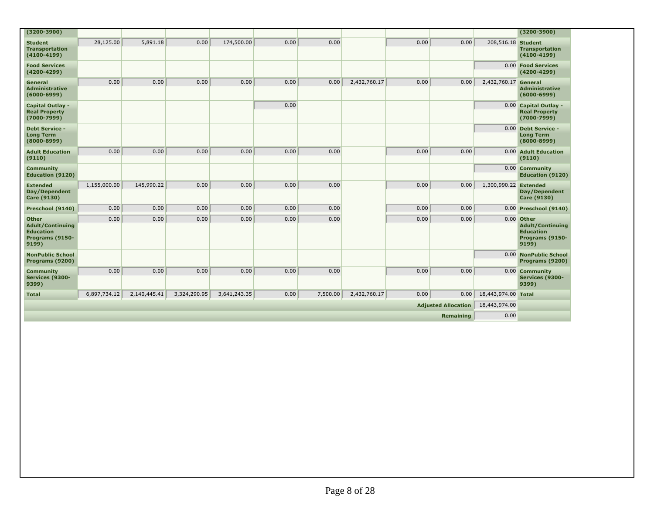| $(3200 - 3900)$                                                                         |              |              |              |              |      |          |              |               |           |                       | $(3200 - 3900)$                                                                         |
|-----------------------------------------------------------------------------------------|--------------|--------------|--------------|--------------|------|----------|--------------|---------------|-----------|-----------------------|-----------------------------------------------------------------------------------------|
| <b>Student</b><br><b>Transportation</b><br>$(4100 - 4199)$                              | 28,125.00    | 5,891.18     | 0.00         | 174,500.00   | 0.00 | 0.00     |              | 0.00          | 0.00      | 208,516.18 Student    | <b>Transportation</b><br>$(4100 - 4199)$                                                |
| <b>Food Services</b><br>$(4200 - 4299)$                                                 |              |              |              |              |      |          |              |               |           |                       | 0.00 Food Services<br>$(4200 - 4299)$                                                   |
| <b>General</b><br><b>Administrative</b><br>$(6000 - 6999)$                              | 0.00         | 0.00         | 0.00         | 0.00         | 0.00 | 0.00     | 2,432,760.17 | 0.00          | 0.00      | 2,432,760.17 General  | Administrative<br>$(6000 - 6999)$                                                       |
| <b>Capital Outlay -</b><br><b>Real Property</b><br>$(7000 - 7999)$                      |              |              |              |              | 0.00 |          |              |               |           |                       | 0.00 Capital Outlay -<br><b>Real Property</b><br>$(7000 - 7999)$                        |
| <b>Debt Service -</b><br><b>Long Term</b><br>$(8000 - 8999)$                            |              |              |              |              |      |          |              |               |           |                       | 0.00 Debt Service -<br><b>Long Term</b><br>$(8000 - 8999)$                              |
| <b>Adult Education</b><br>(9110)                                                        | 0.00         | 0.00         | 0.00         | 0.00         | 0.00 | 0.00     |              | 0.00          | 0.00      |                       | 0.00 Adult Education<br>(9110)                                                          |
| <b>Community</b><br><b>Education (9120)</b>                                             |              |              |              |              |      |          |              |               |           |                       | 0.00 Community<br><b>Education (9120)</b>                                               |
| <b>Extended</b><br>Day/Dependent<br><b>Care (9130)</b>                                  | 1,155,000.00 | 145,990.22   | 0.00         | 0.00         | 0.00 | 0.00     |              | 0.00          | 0.00      | 1,300,990.22 Extended | Day/Dependent<br><b>Care (9130)</b>                                                     |
| Preschool (9140)                                                                        | 0.00         | 0.00         | 0.00         | 0.00         | 0.00 | 0.00     |              | 0.00          | 0.00      |                       | 0.00 Preschool (9140)                                                                   |
| <b>Other</b><br><b>Adult/Continuing</b><br><b>Education</b><br>Programs (9150-<br>9199) | 0.00         | 0.00         | 0.00         | 0.00         | 0.00 | 0.00     |              | 0.00          | 0.00      |                       | $0.00$ Other<br><b>Adult/Continuing</b><br><b>Education</b><br>Programs (9150-<br>9199) |
| <b>NonPublic School</b><br>Programs (9200)                                              |              |              |              |              |      |          |              |               |           |                       | 0.00 NonPublic School<br>Programs (9200)                                                |
| <b>Community</b><br>Services (9300-<br>9399)                                            | 0.00         | 0.00         | 0.00         | 0.00         | 0.00 | 0.00     |              | 0.00          | 0.00      |                       | 0.00 Community<br>Services (9300-<br>9399)                                              |
| <b>Total</b>                                                                            | 6,897,734.12 | 2,140,445.41 | 3,324,290.95 | 3,641,243.35 | 0.00 | 7,500.00 | 2,432,760.17 | 0.00          | 0.00      | 18,443,974.00 Total   |                                                                                         |
| <b>Adjusted Allocation</b>                                                              |              |              |              |              |      |          |              | 18,443,974.00 |           |                       |                                                                                         |
|                                                                                         |              |              |              |              |      |          |              |               | Remaining | 0.00                  |                                                                                         |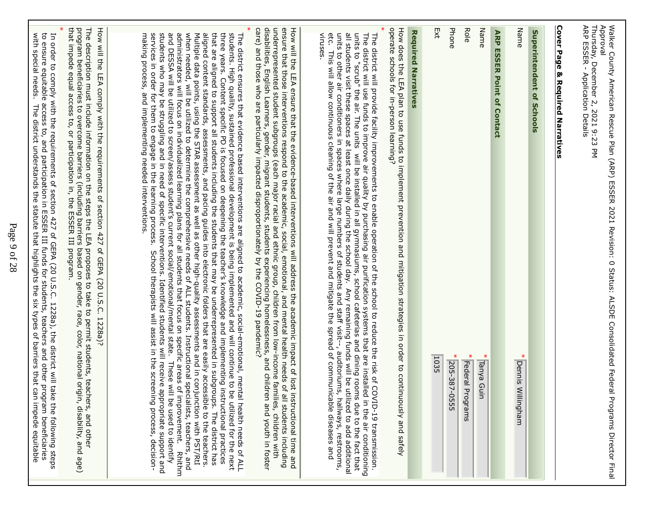| Approval<br>Thursday, December 2, 2021 9:23 PM<br>ARP ESSER - Application Details<br>Walker Counstruct of the construct of the SQSLE SCOR RISSER DRESS TO SCORD The SCORD SESSIGN TO STRIG CONSIDING<br>Programs Director Final                                                                                                                                                                                                                                                                                                                                                                                                                                                                                                                                                                                                                                                                                                                                                                                                                                                                                                             |
|---------------------------------------------------------------------------------------------------------------------------------------------------------------------------------------------------------------------------------------------------------------------------------------------------------------------------------------------------------------------------------------------------------------------------------------------------------------------------------------------------------------------------------------------------------------------------------------------------------------------------------------------------------------------------------------------------------------------------------------------------------------------------------------------------------------------------------------------------------------------------------------------------------------------------------------------------------------------------------------------------------------------------------------------------------------------------------------------------------------------------------------------|
| Cover Page & Required Narratives                                                                                                                                                                                                                                                                                                                                                                                                                                                                                                                                                                                                                                                                                                                                                                                                                                                                                                                                                                                                                                                                                                            |
| Superintendent of Schools                                                                                                                                                                                                                                                                                                                                                                                                                                                                                                                                                                                                                                                                                                                                                                                                                                                                                                                                                                                                                                                                                                                   |
| Name<br>$\ast$<br>Dennis Willingham                                                                                                                                                                                                                                                                                                                                                                                                                                                                                                                                                                                                                                                                                                                                                                                                                                                                                                                                                                                                                                                                                                         |
| <b>ARP ESSER Point of Contact</b>                                                                                                                                                                                                                                                                                                                                                                                                                                                                                                                                                                                                                                                                                                                                                                                                                                                                                                                                                                                                                                                                                                           |
| Name<br>* Tanya Guin                                                                                                                                                                                                                                                                                                                                                                                                                                                                                                                                                                                                                                                                                                                                                                                                                                                                                                                                                                                                                                                                                                                        |
| Role<br>* Federal Programs                                                                                                                                                                                                                                                                                                                                                                                                                                                                                                                                                                                                                                                                                                                                                                                                                                                                                                                                                                                                                                                                                                                  |
| Phone<br>205-387-0555                                                                                                                                                                                                                                                                                                                                                                                                                                                                                                                                                                                                                                                                                                                                                                                                                                                                                                                                                                                                                                                                                                                       |
| ĘXt<br>1035                                                                                                                                                                                                                                                                                                                                                                                                                                                                                                                                                                                                                                                                                                                                                                                                                                                                                                                                                                                                                                                                                                                                 |
| <b>Required Narratives</b>                                                                                                                                                                                                                                                                                                                                                                                                                                                                                                                                                                                                                                                                                                                                                                                                                                                                                                                                                                                                                                                                                                                  |
| How does the LEA plan to use funds to implement prevention and mitigation strategies in order to continuously and safely<br>operate schools for in-person learning?                                                                                                                                                                                                                                                                                                                                                                                                                                                                                                                                                                                                                                                                                                                                                                                                                                                                                                                                                                         |
| all students visit these spaces at least once daily during the school day. Any remaining funds will be utilized to add additional<br>units to "scrub" the air. The units will be installed in all gymnasiums, school cafeterias and dining rooms due to the fact that<br>units to other air conditioners in spaces where large numbers of students and staff visit--, auditoriums,<br>etc. This will allow continuous cleaning of the air and will prevent and mitigate the spread of communic<br>The district will use through to the air and letter is a set that of the simulation of the section of the section of the section of the district will district with $\sim$ 0.4 The district of the section of the distribution o<br>viruses.<br>The district will provide facility improvements to enable operation of the school to reduce the risk of COVID-19 transmission.<br>hallways, restrooms,<br>able diseases and                                                                                                                                                                                                               |
| disabilities, English Learners, gender, migrant students, students experiencing homelessness, and childre<br>care) and those who are particularly impacted disproportionately by the COVID-19 pandemic?<br>underrepresented student subgroups (each major racial and ethnic group, children from low-income families, children with<br>ensure that those interventions respond to the academic, social, emotional, and mental health needs of all students including<br>how will the LIP ansire that the exidence-based interventions will address the academic inpadr of lost instructional time and<br>n and Youth in foster                                                                                                                                                                                                                                                                                                                                                                                                                                                                                                              |
| administrators will focus on individualized learning plans for all students that focus on specific areas of<br>and DESSA will be utilized to screen/assess student's current social/emotional/mental state. These wil<br>when used to determinism to the complete comprehensive peeds of ALL students. Instructional specialists, teach-sy-<br>Multiple data points, using the STAR assessment as well as other high-quality assessments and in conjunction with PST/RtI<br>three Xears. Content specific PD is focused on deepening the teacher's knowledge and unplementing justructional practices<br>students. High quality, sustained professional development is being implemented and will continue to be utilized for the next<br>that are aligned to support all students including the students that may be underrepresented in subgroups. The district has<br>aligned content standards, assessments, and pacing guides into electronic folders that are easily<br>The district ensures that evidence based interventions are aligned to academic, social-emotional, mental health needs of ALL<br>improvement.<br><b>Rhithm</b> |
| students who may be struggling and in need of specific interventions. Identified students will receive appropriate support and<br>services in order for them to engage in the learning process. School therapists will assist in                                                                                                                                                                                                                                                                                                                                                                                                                                                                                                                                                                                                                                                                                                                                                                                                                                                                                                            |
| program beneficiaries to overcome barriers (including barriers based on gender, race, color, national origi<br>that impede equal access to, or participation in, the ESSER III program.<br>How will the LEA comply with the requirements of section 427 of GEPA (20 U.S.C. 1228a)?<br>The description must include information on the steps the LEA proposes to take to permit students, teachers, and other<br>in, disability, and age)                                                                                                                                                                                                                                                                                                                                                                                                                                                                                                                                                                                                                                                                                                    |
| to ensure equitable access to, and participation in ESSER III funds for students, teachers and other program beneficiaries<br>with special needs. The district understands the statute that highlights the six types of barriers<br>In order to comply with the requirements of section 427 of GEPA (20 U.S.C. 1228a), the district will take the following steps                                                                                                                                                                                                                                                                                                                                                                                                                                                                                                                                                                                                                                                                                                                                                                           |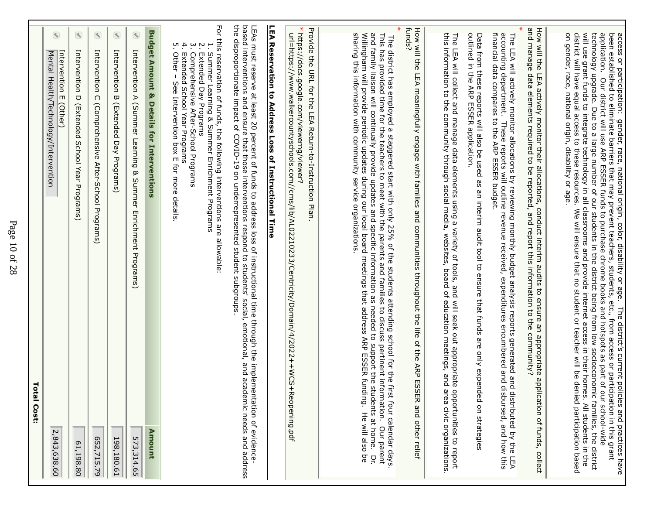| <b>Total Cost:</b>                                                                                                                                                                                                                                                                                                                                                                                                                                                                                                                                                                                                                                                                                                                                                                                                                          |  |
|---------------------------------------------------------------------------------------------------------------------------------------------------------------------------------------------------------------------------------------------------------------------------------------------------------------------------------------------------------------------------------------------------------------------------------------------------------------------------------------------------------------------------------------------------------------------------------------------------------------------------------------------------------------------------------------------------------------------------------------------------------------------------------------------------------------------------------------------|--|
| $\circledast$<br>Intervention E (Other)<br>Mental Health/Technology/Intervention<br>2,843,638.60                                                                                                                                                                                                                                                                                                                                                                                                                                                                                                                                                                                                                                                                                                                                            |  |
| $\triangleleft$<br>Intervention D (FXtended School Year Programs)<br>61,198.80                                                                                                                                                                                                                                                                                                                                                                                                                                                                                                                                                                                                                                                                                                                                                              |  |
| Intervention C (Comprehensive After-School Programs)<br>652,715.79                                                                                                                                                                                                                                                                                                                                                                                                                                                                                                                                                                                                                                                                                                                                                                          |  |
| $\circledast$<br>Intervention B (Extended Day Programs)<br>198,180.61                                                                                                                                                                                                                                                                                                                                                                                                                                                                                                                                                                                                                                                                                                                                                                       |  |
| $\bigcirc$<br>Intervention A (SO munical Secretion Secretion A (SO munical Produal S)<br>573,314.65                                                                                                                                                                                                                                                                                                                                                                                                                                                                                                                                                                                                                                                                                                                                         |  |
| <b>Budget Amount &amp; Details for Interventions</b><br>Amount                                                                                                                                                                                                                                                                                                                                                                                                                                                                                                                                                                                                                                                                                                                                                                              |  |
| For this reservation of funds, the following interventions are allowable:<br>1. Summer Learning & Summer Enrichment Programs<br>$\boldsymbol{\omega}$<br>$\frac{1}{2}$<br>4.7<br>Other - See Intervention box m for more details<br>Comprehensive After-School Programs<br>Extended School Year Programs<br>Extended Day Programs                                                                                                                                                                                                                                                                                                                                                                                                                                                                                                           |  |
| the disproportionate impact of COVID-19 on underrepresented student subgroups<br>based interventions and ensure that those interventions respond to students' social, emotional, and academic needs and address<br>LEAs must reserve at least CO percent of climats to address loss of instructional trime through the implementation of exidence-                                                                                                                                                                                                                                                                                                                                                                                                                                                                                          |  |
| LEA Reservation to Address Loss of Instructional Time                                                                                                                                                                                                                                                                                                                                                                                                                                                                                                                                                                                                                                                                                                                                                                                       |  |
| Provide the URL for the LEA Return-to-linstruction Plan.<br>* https://docs.google.com/viewerng/viewer?<br>url=https://www.walkercountyschools.com//cmsi/jkh/al022102233/Centricity/Al0021233/Centiclity/Al2023+AMCS+AKCS+AMCS-                                                                                                                                                                                                                                                                                                                                                                                                                                                                                                                                                                                                              |  |
| and family liaison will continually provide updates and specific information as needed to support the students at home.<br>sharing this juformation with community service organizations.<br>Willingham will provide periodic updates during our local board meetings that address ARP ESSER funding. He will also be<br>This has provided time for the teachers to meet with the parents and families to discuss pertinent information.<br>The district has employed a staggered staggered stat with only 25% of the students attending school for the first four calendar days<br>Our parent<br>ă                                                                                                                                                                                                                                         |  |
| funds?<br>How will the LEA meaningfully engage with families and communities throughout the life of the ARP ESSE<br>R and other relief                                                                                                                                                                                                                                                                                                                                                                                                                                                                                                                                                                                                                                                                                                      |  |
| this information to the community through social media, websites, board of education meetings, and area civic organizations.<br>The LEA will collect and manage data elements using a variety of tools, and will seek out appropriate opportunities to report                                                                                                                                                                                                                                                                                                                                                                                                                                                                                                                                                                               |  |
| outlined in the ARP ESSER application.<br>Data from these reports will also be used as an interim audit tool to ensure that funds are only expended on strategies                                                                                                                                                                                                                                                                                                                                                                                                                                                                                                                                                                                                                                                                           |  |
| financial data connest to the ARP ESSER budget:<br>accounting department.<br>The LEA will actively monitor allocations by reviewing monthly budget analysis reports generated and d<br>These reports will outline revenue received, expenditures encumbered and dis<br>bursed, and how this<br>istriprited by the LEA                                                                                                                                                                                                                                                                                                                                                                                                                                                                                                                       |  |
| How will the LEA actively monitor their allocations, conduct interim audits to ensure an appropriate<br>and manage data elements required to be reported, and report this information to the community?<br>application of funds, collect                                                                                                                                                                                                                                                                                                                                                                                                                                                                                                                                                                                                    |  |
| ivil use grapt rup to the product of produced in all classrooms and provide internet access in their drie ristic promocy. All students in the<br>technology upgrade. Due to a large number of our students in the district being from low socioeconomic families, the district<br>application.<br>access or participation: gender, race, national origin, color, disability or age. The district's current policies and practices have<br>been established to eliminate barriers that may prevent teachers, students, etc., from ac<br>on gender, race, national origin, disability or age.<br>district will have equal access to these tesoforces. We kill einsule that no student or teached will be denied pasted pasted based<br>Our district will use ARP ESSER funds to purchase chrome books and hotspots as part of our school-wide |  |

г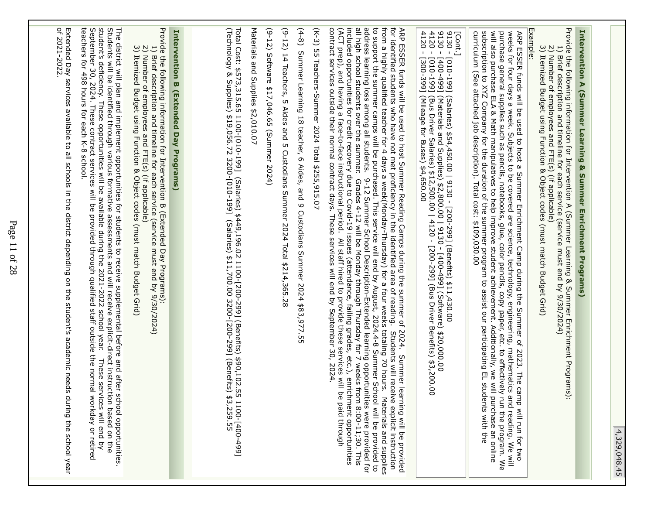| ⊵      |
|--------|
| ٢      |
|        |
| п      |
|        |
|        |
| е<br>۹ |
|        |
|        |

| <b>Intervention A (Summer Learning &amp; Summer Enrichment</b> |
|----------------------------------------------------------------|
|                                                                |
|                                                                |
|                                                                |
|                                                                |
| <b>PAISON</b><br>E                                             |

Provide the following information for Intervention A (Summer Learning & Summer Enrichment Programs): Provide the following information for Intervention A (Summer Learning & Summer Enrichment Programs):1) Brief description and timelier for each service (service mate and by 9/30/2024) 1) Brief description and timeline for each service (service must end by 9/30/2024)

- 2) Number of employees and FTE(s) (if applicable)
- 2) Number of employees and FTE(s) (if applicable)<br>3) Itemized Budget using Function & Object codes (must match Budget Grid) 3) Itemized Budget using Function & Object codes (must match Budget Grid)

Example:

ARP ESSER funds will be used to host a Summer Enrichment Camp during the Summer of 2023. The camp will run for two $\leq$  = weeks for four days a week. Subjects to be covered are science, technology, engineering, mathematics and reading. We will purchase general supplies such as pencils, notebooks, glue, color pencils, copy paper, etc. to effectively run the program. Wewill also purchase ELA & Math manipulatives to help improve student achievement. Additionally, we will purchase an onlinesubscription to XYZ Company for the duration of the summer program to assist our participating EL students with thecurriculum (See attached job description). Total cost: \$109,030.00subscription to XYZ Company for the duration of the summer program to assist our participating EL students with the<br>curriculum (See attached job description). Total cost: \$109,030.00

[Cont.]

9130 - [010-199] (Salaries) \$54,450.00 | 9130 - [200-299] (Benefits) \$11,430.00

9130 - [400-499] (Materials and Supplies) \$2,800.00 | 9130 - [400-499] (Software) \$20,000.00

4120 - [010-199] (Bus Driver Salaries) \$12,500.00 | 4120 - [200-299] (Bus Driver Benefits) \$3,200.004120 - [300-399] (Mileage for Buses) \$4,650.00

from a highly qualified teacher for 4 days a week(Monday-Thursday) for a four weeks totaling 70 hours. Materials and supplies<br>to support the summer camps will be purchased. This service will end by August, 2024.4-8 Summer ARP ESSER funds will be used to host Summer Reading Camps during the summer of 2024.<br>for identified students who have not met proficiency in the identified area of reading. Stude contract services outside their normal contract days. These services will end by September 30, 2024. $\Delta$ CT prep), and having a face-to-face instructional period.  $\Delta$  listaff hired to provide these services will be paid through included opportunities for credit recovery due to Covid-19 issues (attendance, failing grades, etc.), enrichment opportunitiesall high school students over the summer. Grades 4-12 will be Monday through Thursday for 7 weeks from 8:00-11;30. Thisaddress learning loss among all students. 9-12 Summer School Description-Extended learning opportunities were provided forto support the summer camps will be purchased. This service will end by August, 2024.4-8 Summer School will be provided tofrom a highly qualified teacher for 4 days a week(Monday-Thursday) for a four weeks totaling 70 hours. Materials and suppliesfor identified students who have not met proficiency in the identified area of reading. Students will receive explicit instructionARP ESSER funds will be used to host Summer Reading Camps during the summer of 2024. Summer learning will be providedStrudents sill receive explicit instruction Summer learning will be provided

(X-3) D.5 Teachers-Summer 1024 10tal \$250,915.07 (K-3) 55 Teachers-Summer 2024 Total \$255,915.07

 $(4-8)$ (4-8) Summer Learning 18 teacher, 6 Aides, and 9 Custodians Summer 2024 \$83,977.55Summer Learning 18 teacher, 6 Aides, and 9 Custodians Summer 2024 \$83,977.55

(9-12) 14 Teachers, 5 Aides and 5 Custodians Summer 2024 Total \$214,365.28 (9-12) 14 Teachers, 5 Aides and 5 Custodians Summer 2024 Total \$214,365.28

(9-12) Software \$17,046.65 (Summer 2024) (9-12) Software \$17,046.65 (Summer 2024)

Materials and Suplies \$2,010.07 Materials and Supplies \$2,010.07

ನ otal Cost: \$573,315.65 1100-[010-199] (Salaries) \$449,196.02 1100-[200-299] (Benefits) \$90,102.55 1100-[400-499](Technology & Supplies) \$19,056.72 3200-[010-199] (Salaries) \$11,700.00 3200-[200-299] (Benefits) \$3,259.55

# Intervention B (Extended Day Programs) **Intervention B (Extended Day Programs)**

Provide the following information for Intervention B (Extended Day Programs): Provide the following information for Intervention B (Extended Day Programs):

- 1) Brief description and timeline for each service (service must end by 9/30/2024) 1) Brief description and timeline for each service (service must end by 9/30/2024)
- 2) Number of employees and FTE(s) (if applicable) 2) Number of employees and FTE(s) (if applicable)
- 3) Itemized Budget using Function & Object codes (must match Budget Grid)
- 3) Itemized Budget using Function & Object codes (must match Budget Grid)

teachers for 498 hours for each K-8 school. September 30, 2024. These contract services will be provided through qualified staff outside the normal workday or retired student's deficiency. These opportential will be available during 2021-2022 school year. Students will be detainting through the syndicit-direct of syndicity and will receive assessments and will receive as a proprict of the condit The district will plan and inplement opportunities for students to receive supplemental before and after school opportunities teachers for 498 hours for each K-8 school.September 30, 2024. These contract services will be provided through qualified staff outside the normal workday or retiredstudent's deficiency. These opportunities will be available during the 2021-2022 school year. These services will end byStudents will be identified through various formative assessments and will receive explicit-direct instruction based on theThe district will plan and implement opportunities for students to receive supplemental before and after school opportunities. These services will end by

of 2021-2022 Externded Day services available to all schools in the district depending on the student's academic needs during the school year of 2021-2022.Extended Day services available to all schools in the district depending on the student's academic needs during the school year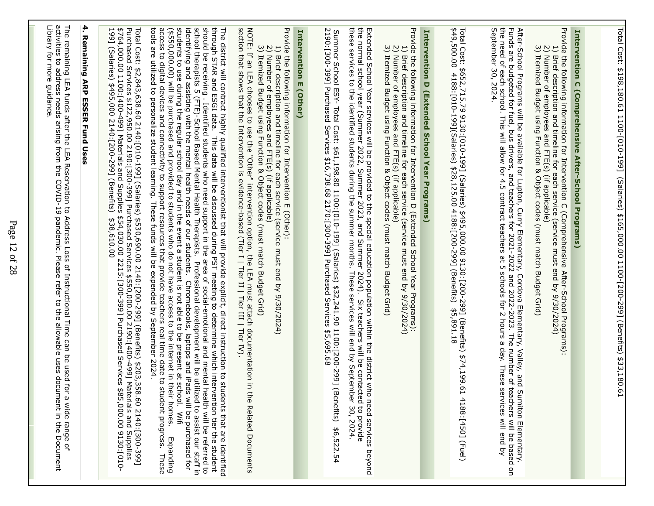| activities to address needs<br>Library for more guidance.<br>The remaining LEA funds after the LEA Reservation to Address Loss of Instructional IImpe can be used for<br>arising from the COVID-19 pandemic. Please<br>refer to the allowable uses docurrent in the Docurrent<br>a wide range of | 4.<br><b>Remaining ARP ESSER Fund Uses</b> | \$764,000.00 1100:[400-499] Materials and Supplies \$54,030.00 2215:[300-399] Purchased Services<br>199] (Salaries) \$495,000 2140:[200-299] (Benefits) \$38.610.00<br>Total Cost: \$2,843,638.60 2140:[010-199] (Salaries) \$530,690.00 2140:[200-299] (Benefits) \$203,358.60 2140:[300-399]<br>Purchased Services \$122,950.00 2190:[300-399] Purchased Services \$550,000.00 2190:[400-499] Materials and<br>99] (Salaries)<br>\$495,000<br>2140:[200-299] (Benefits)<br>\$38,610.00 | students to use during the regular school day and in the event a student is not able to be present at school. Wifi<br>identifying and assisting with the mental health needs of our students. Chromebooks, laptops and iPads will be purchased for<br>school therapists 5 (FTE)-School Based Mental Health Therapists.<br>should be receiving. Identified students who need support in the area of social-emotional and mental health will be referred to<br>through STAR and ESGI data.<br>tools are utilized to personalize student learning. These funds will be expended by September 2024.<br>access to digital devices and connectivity to support resources that provide teachers real time<br>(\$550,000.000) will be purchased and provided to students who do not have access to the internet in their homes.<br>The district will contract highly qualified interventionist that will provide explicit, direct instruction to students that are identified<br>through STAR and ESGI data. This data will be discussed during PST meeting to deter<br>Professional development will be utilized to assist our staff in<br>date to student progress. These<br>Expanding | NOTE: If an LEA chooses to use the "Other" intervention option, the LEA must attach documentation in<br>section that shows that the Intervention is evidence-based (Tier I   Tier II   Tier III   Tier IV).<br>Provide the tolloxing information for Intervention m (Other):<br>3) Itemized Budget using Function & Object codes (must match Budget Grid)<br>$\tilde{\Omega}$<br>$\overline{\phantom{0}}$<br>Number of employees and FTE(s) (if applicable)<br>Brief description and trimeline for each service (service must end by 9/30/2024)<br>the Related Documents | Intervention E (Other) | Summer School ESY- Total Cost: \$61,198.80 1100:[010-199] (Salaries) \$32,241.90 1100:[200-299] (Benefits)<br>2190:[300-399] Purchased Services \$16,738.68 2170:[300-399] Purchased Services \$5,695.68<br>\$6,522.54 | Extended School Year services will be provided to the special education population within the district who need services beyond<br>the normal school year (Summer 2022, Summer 2023, and Summer 2024). Six teachers will be conta | Provide the following information for Intervention D (Extended School Year Programs):<br>3) Itemized Budget using Function & Object codes (must match Budget Grid)<br>$\overline{c}$<br>U<br>Number of employees and FTE(s) (if applicable)<br>Brief description and timeline for each service (service must end by 9/30/2/2024) | Intervention D (Extended School Year Programs) | Total Cost: \$<br>\$49,500.00<br>1552,715.79 9130;[010-199] (Salaries) \$495,000.00 9130;[200-299] (Benefits)<br>1 4188:[010-199](Salaries) \$28,125.00 4188:[200-299] (Benefits) \$5,891.18<br>\$74,199.61<br>4188:[450] (Fuel) | September 30, 2024.<br>After-School Programs will be available for Lupton, Curry Elementary, Cordova Elementary, Valley, and Sumiton Elementary.<br>Funds are budgeted for fuel, bus drivers, and teachers for 2021-2022 and 2022-2023. The number of te | Provide the following information for Intervention C (Comprehensive After-School Programs):<br>2) Number of employees and r i cl. y lu applicet codes (must match Budget Grid)<br>3) Itemized Budget using Function & Object codes (must match Budget Grid)<br>こ<br>Brief description and timeline for each service (service must end by 9/30/2024) | Intervention C (Comprehensive After-School Programs) |  | Total Cost: \$198,180.61 1100-[010-199] (Salaries) \$165,000.00 1100-[200-299] (Benefits) \$33,180.6 |
|--------------------------------------------------------------------------------------------------------------------------------------------------------------------------------------------------------------------------------------------------------------------------------------------------|--------------------------------------------|------------------------------------------------------------------------------------------------------------------------------------------------------------------------------------------------------------------------------------------------------------------------------------------------------------------------------------------------------------------------------------------------------------------------------------------------------------------------------------------|----------------------------------------------------------------------------------------------------------------------------------------------------------------------------------------------------------------------------------------------------------------------------------------------------------------------------------------------------------------------------------------------------------------------------------------------------------------------------------------------------------------------------------------------------------------------------------------------------------------------------------------------------------------------------------------------------------------------------------------------------------------------------------------------------------------------------------------------------------------------------------------------------------------------------------------------------------------------------------------------------------------------------------------------------------------------------------------------------------------------------------------------------------------------------------|--------------------------------------------------------------------------------------------------------------------------------------------------------------------------------------------------------------------------------------------------------------------------------------------------------------------------------------------------------------------------------------------------------------------------------------------------------------------------------------------------------------------------------------------------------------------------|------------------------|------------------------------------------------------------------------------------------------------------------------------------------------------------------------------------------------------------------------|-----------------------------------------------------------------------------------------------------------------------------------------------------------------------------------------------------------------------------------|----------------------------------------------------------------------------------------------------------------------------------------------------------------------------------------------------------------------------------------------------------------------------------------------------------------------------------|------------------------------------------------|----------------------------------------------------------------------------------------------------------------------------------------------------------------------------------------------------------------------------------|----------------------------------------------------------------------------------------------------------------------------------------------------------------------------------------------------------------------------------------------------------|-----------------------------------------------------------------------------------------------------------------------------------------------------------------------------------------------------------------------------------------------------------------------------------------------------------------------------------------------------|------------------------------------------------------|--|------------------------------------------------------------------------------------------------------|
|--------------------------------------------------------------------------------------------------------------------------------------------------------------------------------------------------------------------------------------------------------------------------------------------------|--------------------------------------------|------------------------------------------------------------------------------------------------------------------------------------------------------------------------------------------------------------------------------------------------------------------------------------------------------------------------------------------------------------------------------------------------------------------------------------------------------------------------------------------|----------------------------------------------------------------------------------------------------------------------------------------------------------------------------------------------------------------------------------------------------------------------------------------------------------------------------------------------------------------------------------------------------------------------------------------------------------------------------------------------------------------------------------------------------------------------------------------------------------------------------------------------------------------------------------------------------------------------------------------------------------------------------------------------------------------------------------------------------------------------------------------------------------------------------------------------------------------------------------------------------------------------------------------------------------------------------------------------------------------------------------------------------------------------------------|--------------------------------------------------------------------------------------------------------------------------------------------------------------------------------------------------------------------------------------------------------------------------------------------------------------------------------------------------------------------------------------------------------------------------------------------------------------------------------------------------------------------------------------------------------------------------|------------------------|------------------------------------------------------------------------------------------------------------------------------------------------------------------------------------------------------------------------|-----------------------------------------------------------------------------------------------------------------------------------------------------------------------------------------------------------------------------------|----------------------------------------------------------------------------------------------------------------------------------------------------------------------------------------------------------------------------------------------------------------------------------------------------------------------------------|------------------------------------------------|----------------------------------------------------------------------------------------------------------------------------------------------------------------------------------------------------------------------------------|----------------------------------------------------------------------------------------------------------------------------------------------------------------------------------------------------------------------------------------------------------|-----------------------------------------------------------------------------------------------------------------------------------------------------------------------------------------------------------------------------------------------------------------------------------------------------------------------------------------------------|------------------------------------------------------|--|------------------------------------------------------------------------------------------------------|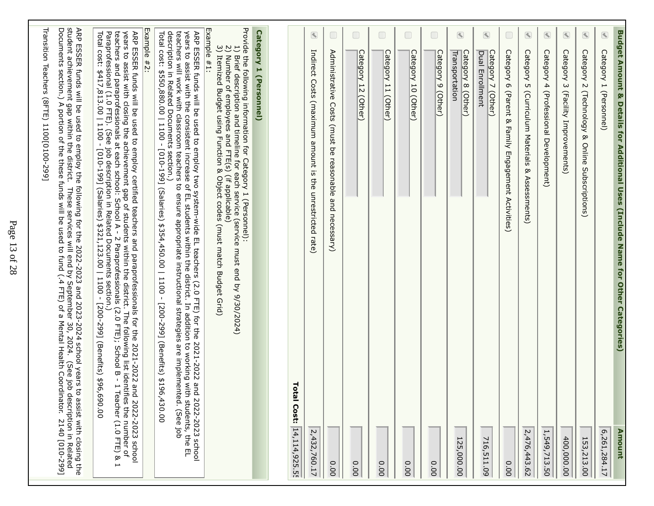|                                           | Transition Teachers (8FTE) 1100[0100-299]                                                                                                                                                                                                                                                                                                                                                                                                                                                                             |
|-------------------------------------------|-----------------------------------------------------------------------------------------------------------------------------------------------------------------------------------------------------------------------------------------------------------------------------------------------------------------------------------------------------------------------------------------------------------------------------------------------------------------------------------------------------------------------|
| assist with closing the<br>2140 [010-299] | ARP ESSER funds will be used to employ the following for the 2022-2023 and 2023-2024 school years to assist with closing th<br>student achievement gap within the district. These services will end by September 30, 2024. (See j                                                                                                                                                                                                                                                                                     |
|                                           | years to assist with closing the achievement gap of students within the district. The following list identifies the number of<br>teachers and paraprofessionals at each school: School A - 2 Paraprofessionals (2.0 FTE); School<br>ARP ESSER funds will be used to exect the 2021-2022 and paraprofessionals for the 2021-2022 and 2022-2023 school                                                                                                                                                                  |
|                                           | Example #2:                                                                                                                                                                                                                                                                                                                                                                                                                                                                                                           |
| 430.00<br>2022-2023 school                | description in Related Documents section.<br>teachers will work with classroom teachers to ensure appropriate instructional strategies are implemented. (See job<br>Total cost: \$550,880.00   1100 -<br>years to assist with the consistent increase of EL students within the district. In addition to working with students, the EL<br>ARP ESSER funds will be used to employ two system-wide EL teachers (2.0 FTE) for the 2021-2022 and<br>[010-199] (Salaries) \$354,450.00   1100 - [200-299] (Benefits) \$196 |
|                                           | Provide the following information tor Category 1 (Personnel):<br>Example #1:<br>2) Number of employees and FTE(s) (if applicable)<br>3) Itemized Budget using Function & Object codes (must match Budget Grid)<br>$\overline{\overline{C}}$<br>Brief description and timeline for each service (service must end by 9/30/2024)                                                                                                                                                                                        |
|                                           | Category 1 (Personnel)                                                                                                                                                                                                                                                                                                                                                                                                                                                                                                |
|                                           |                                                                                                                                                                                                                                                                                                                                                                                                                                                                                                                       |
| <b>Total Cost:</b><br>14, 114, 925. 5!    |                                                                                                                                                                                                                                                                                                                                                                                                                                                                                                                       |
| 2,432,760.17                              | $\bigcirc$<br>Indirect Costs<br>(maximum amount is<br>the unrestricted rate)                                                                                                                                                                                                                                                                                                                                                                                                                                          |
| 0.00                                      | $\Box$<br>Administrative<br>Costs<br>(must be reasonable and necessary)                                                                                                                                                                                                                                                                                                                                                                                                                                               |
| 0.00                                      | $\Box$<br>Category 12<br>(Other)                                                                                                                                                                                                                                                                                                                                                                                                                                                                                      |
| 0.00                                      | $\Box$<br>Category 11 (Other)                                                                                                                                                                                                                                                                                                                                                                                                                                                                                         |
| 0.00                                      | $\Box$<br>Category 10 (Other)                                                                                                                                                                                                                                                                                                                                                                                                                                                                                         |
| 0.00                                      | $\Box$<br>Category 9 (Other)                                                                                                                                                                                                                                                                                                                                                                                                                                                                                          |
| $\overline{\phantom{0}}$<br>25,000.00     | $\bigcirc$<br>Transportation<br>Category 8 (Other)                                                                                                                                                                                                                                                                                                                                                                                                                                                                    |
| 716,511.09                                | $\begin{picture}(40,4) \put(0,0){\line(1,0){15}} \put(15,0){\line(1,0){15}} \put(15,0){\line(1,0){15}} \put(15,0){\line(1,0){15}} \put(15,0){\line(1,0){15}} \put(15,0){\line(1,0){15}} \put(15,0){\line(1,0){15}} \put(15,0){\line(1,0){15}} \put(15,0){\line(1,0){15}} \put(15,0){\line(1,0){15}} \put(15,0){\line(1,0){15}} \put(15,0){\line(1,$<br>Category 7 (Other)<br>Dual Enrollment                                                                                                                          |
| 0.00                                      | $\Box$<br>Category 6 (Parent &<br>Family Engagement Activities)                                                                                                                                                                                                                                                                                                                                                                                                                                                       |
| 2,476,443.62                              | $\begin{picture}(40,4) \put(0,0){\line(1,0){10}} \put(10,0){\line(1,0){10}} \put(10,0){\line(1,0){10}} \put(10,0){\line(1,0){10}} \put(10,0){\line(1,0){10}} \put(10,0){\line(1,0){10}} \put(10,0){\line(1,0){10}} \put(10,0){\line(1,0){10}} \put(10,0){\line(1,0){10}} \put(10,0){\line(1,0){10}} \put(10,0){\line(1,0){10}} \put(10,0){\line(1,$<br>Category 5 (Curriculum Materials & Assessments)                                                                                                                |
| 1,549,713.50                              | $\bigcirc$<br>Category 4 (Professional Development)                                                                                                                                                                                                                                                                                                                                                                                                                                                                   |
| 400,000.00                                | $\bigcirc$<br>Category 3 (Facility Improvements)                                                                                                                                                                                                                                                                                                                                                                                                                                                                      |
| 153,213.00                                | $\textcolor{red}{\blacktriangleleft}$<br>Category 2 (Technology & Online Subscriptions)                                                                                                                                                                                                                                                                                                                                                                                                                               |
| 6,261,284.17                              | Category 1 (Personnel)                                                                                                                                                                                                                                                                                                                                                                                                                                                                                                |
| Amount                                    | Buddoct Amount & Details for Additional Uses (Include Mame for Other Categories)                                                                                                                                                                                                                                                                                                                                                                                                                                      |

┓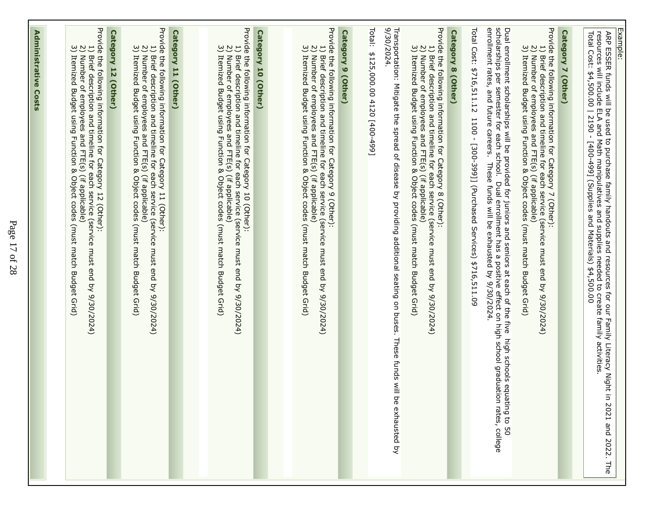| Provide the following information for Category 12 (Other):<br>2) Number of employees and FTE(s) (if applicable)<br>3) Itemized Budget using Function & Object codes<br>$\overline{\overline{C}}$<br>Itemized Budget using Function & Object codes<br>Brief description and trimeline for abor service (service must end dy 9/20/2/0/24)<br>(must match Budget Grid) |
|---------------------------------------------------------------------------------------------------------------------------------------------------------------------------------------------------------------------------------------------------------------------------------------------------------------------------------------------------------------------|
| Category 12 (Other)                                                                                                                                                                                                                                                                                                                                                 |
| Provide the following information for Category 11 (Other):<br>2) Number of employees and FTE(s) (if applicable)<br>3) Itemized Budget using Function & Object codes<br>$\overline{C}$<br>Brief description and timeline for each service (service must end by 9/30/2024)<br>Itemized Budget using Function & Object codes (must match Budget Grid)                  |
| Category 11 (Other)                                                                                                                                                                                                                                                                                                                                                 |
| 2) Number of employees and FTE(s) (if applicable)<br>3) Itemized Budget using Function & Object codes (must match Budget Grid)<br>1) Brief description and timeline for each service (service must end by 9/30/2024)                                                                                                                                                |
| Provide the following information for Category 10 (Other):<br>Category 10 (Other)                                                                                                                                                                                                                                                                                   |
|                                                                                                                                                                                                                                                                                                                                                                     |
| Provide the following information for Category 9 (Other):<br>3) Itemized Budget using Function & Object codes (must match Budget Grid)<br>2) Number of employees and FTE(s) (if applicable)<br>1) Brief description and timeline for each service (service must end by 9/30/2024)                                                                                   |
| Category 9 (Other)                                                                                                                                                                                                                                                                                                                                                  |
| Total:<br>\$125,000.00 4120 [400-499]                                                                                                                                                                                                                                                                                                                               |
| 9/30/2024.<br>Transportuation: Nitis a sphead of disease by providing additional seating and the sphead of disease of disease of $\alpha$<br>be exhausted by                                                                                                                                                                                                        |
| Provide the following information for Category 8 (Other):<br>1) Brief description and timeline for each service (service must end by 9/30/2024)<br>2) Number of employees and FTE(s) (if applicable)<br>3) Itemized Budget using Function & Object codes (must match Budget Grid)                                                                                   |
| Category 8 (Other)                                                                                                                                                                                                                                                                                                                                                  |
| Total Cost: \$716,511.12<br>1100 - [300-399]] (Purchased Services) \$716,511.09                                                                                                                                                                                                                                                                                     |
| Dual enrollment scholarships will be provided for juniors and seniors at each of the five high schools equating to 50<br>scholarships per semester for each school.  Dual enrollment has a positive effect on high school graduat                                                                                                                                   |
| Provide the following information for Category 7 (Other):<br>2) Number of employees and FTE(s) (if applicable)<br>3) Itemized Budget using Function & Object codes (must match Budget Grid)<br>1) Brief description and timeline for each service (service must end by 9/30/2024)                                                                                   |
| Category 7 (Other)                                                                                                                                                                                                                                                                                                                                                  |
| Total Cost: \$4,500.00   2190 - [400-499] (Supplies and Materials) \$4,500.00                                                                                                                                                                                                                                                                                       |
| Example:<br>resources will include ELA and Math manipulatives and supplies needed to create family activities.<br>ARP ESSER funds will be used to purchase family handouts and resources for our Family Literacy Night in<br>2021<br>and<br>2022.<br>The                                                                                                            |
|                                                                                                                                                                                                                                                                                                                                                                     |

**Administrative Costs** 

**Administrative Costs**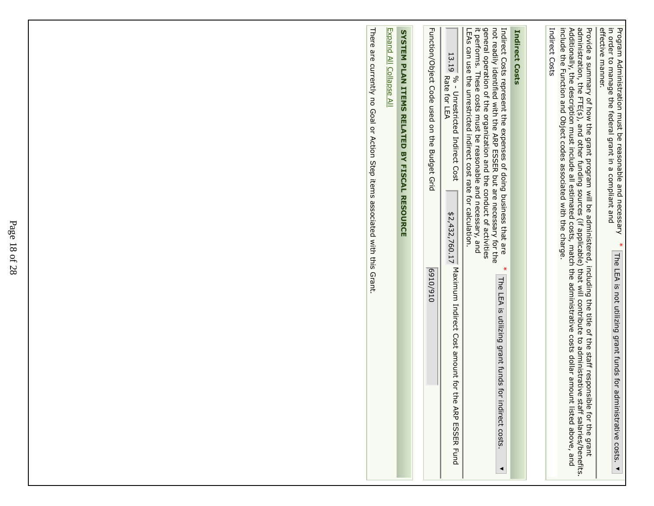| There are critently no Goal or Action Step items associated with this Grant. |
|------------------------------------------------------------------------------|
|------------------------------------------------------------------------------|

┓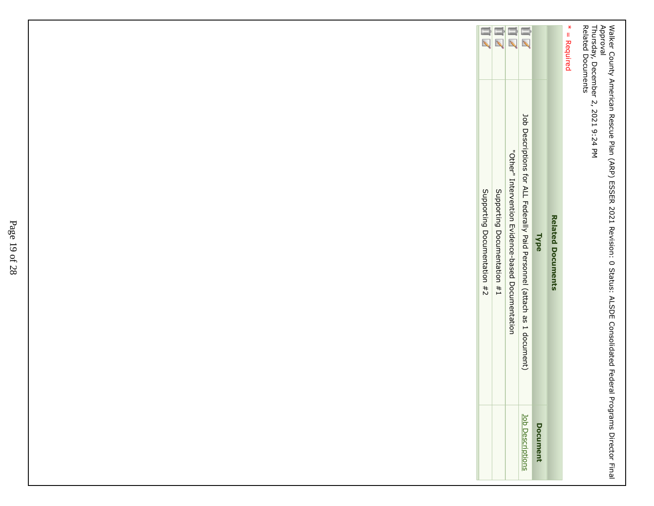Walker County American Rescue Plan (ARP) ESSER 2021 Revision: 0 Status: ALSDE Consolidated Federal Programs Director FinalApproval Thursday, December 2, 2021 9:24 PM

Related Documents

 $* =$  Required \* = Required

| m z                         | $\overline{\mathscr{L}}$    | $\overline{\mathscr{L}}$                          | $\equiv$<br>$\overline{\mathbb{Z}}$                                      |                 |                          |
|-----------------------------|-----------------------------|---------------------------------------------------|--------------------------------------------------------------------------|-----------------|--------------------------|
| Supporting Documentation #2 | Supporting Documentation #1 | "Other" Intervention mvidence-based Documentation | Job Descriptions for ALL Federally Paid Personnel (attach as 1 document) | <b>Type</b>     | <b>Related Documents</b> |
|                             |                             |                                                   | lob Description                                                          | <b>Document</b> |                          |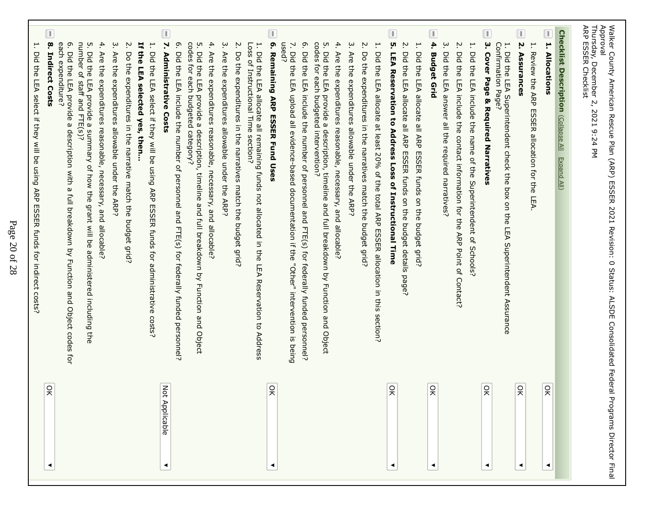| $\frac{1}{2}$                              | L<br>$\mathbf{8}$<br>each expenditure?<br>ō.<br>number of staff<br>5. Did the<br>4.<br>북<br>$\dot{\mathsf{c}}$<br>Ņ.<br>۳.<br>Do the expenditures in the narrative match the budget grid?<br>the LEA selected yes, then<br><b>Are</b><br>Indirect Costs<br>Did the<br><b>Are</b><br>Did the LEA select if they will be<br>the expenditures reasonable, necessary, and allocable?<br>₽fe<br>LEA provide<br>LEA provide a summary of how the grant will be administered including the<br>expenditures<br>and FTE(s)?<br>$\omega$<br>allowable under the ARP?<br>description with<br>using ARP<br>$\omega$<br>$\vec{\Xi}$<br><b>ESSER funds</b><br>Dreakdown Dy Function<br>for indirect costs?<br>and<br>Object codes<br>Ęōr                                                          |
|--------------------------------------------|-------------------------------------------------------------------------------------------------------------------------------------------------------------------------------------------------------------------------------------------------------------------------------------------------------------------------------------------------------------------------------------------------------------------------------------------------------------------------------------------------------------------------------------------------------------------------------------------------------------------------------------------------------------------------------------------------------------------------------------------------------------------------------------|
| Not Applicable<br>◀                        | L<br>N.<br>ō.<br>codes<br>5. Did the LHA provide<br>4.<br>$\dot{\mathbf{c}}$<br>۳.<br>Did the LEA select if the Nill be<br>Did the<br>Are<br>Are<br>Administrative Costs<br>Ę<br>the expenditures reasonable, necessary, and allocable?<br>the<br>each budgeted category?<br>LEA include the<br>expenditures<br>a description,<br>allowable under the ARP?<br>number of personnel and FTE(s) for federally funded personnel?<br>pusn<br>timeline<br><b>ARP</b><br>and full breakdown<br><b>ESSER funds</b><br>for administrative<br>by Function<br>and<br>COSts?<br>Object                                                                                                                                                                                                          |
| 읏                                          | T<br>6. Remaining ARP ESSER Fund Uses<br>used?<br><u>ო</u><br>codes<br>ŗч<br>4.<br>'n,<br>1. Did the LEA allocate all remaining funds not allocated<br>N.<br>Loss<br>.<br>그<br>교<br>Did the<br>$\overline{D}$<br>Do<br>Are<br>ዹ<br>the expenditures in the<br>for each budgeted intervention?<br>the<br>the<br>the<br>Instructional Time<br>LEA<br>LEA upload all evidence-based<br>LEA include the number of personnel and FTE(s) for federally funded personnel?<br>expenditures<br>provide<br>a description,<br>reasonable, necessary, and allocable?<br>section<br>narratives match the<br>timeline<br>documentation if the "Other"<br>and full breakdown<br>budget grid?<br>in the LEA Reservation<br>by Function<br>intervention<br>and<br>đ<br>Object<br>Address<br>is being |
| $\frac{1}{2}$<br>◀                         | L<br>$\dot{\mathsf{c}}$<br>ុហ<br>Ņ.<br>Ņ<br>H.<br>H<br>Are<br>Did the<br>Did the LEA allocate<br>DO<br>Did the LEA allocate<br><b>LEA Reservation</b><br>the expenditures in the natratives match the budget grid?<br>₿Ä<br>expenditures<br>LEA allocate<br>to Address Loss<br>all ARP<br>at least 20% of the total ARP ESSER allocation in this section.<br>all ARP<br>allowable under the ARP?<br>ESSER funds on the<br>ESSER furals on the pudget grid?<br>of Instructional Time<br>budget details<br>page?                                                                                                                                                                                                                                                                      |
| 읒<br>$\frac{1}{2}$<br>◀                    | L<br>I.<br>4.<br>ω<br>$\dot{\mathbf{c}}$<br>Ņ.<br>۳.<br>Confirmation Page?<br>۳.<br>Did the LEA answer all the required narratives?<br><b>Cover Page</b><br>Did the LEA Superintendent check the<br>DIG THE LEA include the contact information tor the ARP Point of<br>Did the LEA include the name of the Superintendent of<br><b>Budget Grid</b><br>& Required Narratives<br>LEA Superintendent Assurance<br>Schools<br><b>Contact?</b>                                                                                                                                                                                                                                                                                                                                          |
| $\frac{1}{2}$<br>$\widetilde{z}$<br>◀<br>◀ | L<br>П<br><b>Checklist Description</b><br>Ņ<br>H<br>H,<br>Assurances<br>Review the ARP<br><b>Allocations</b><br>ESSER allocation for the<br>Collapse All<br>Expand All)<br>box on the<br>LEA.                                                                                                                                                                                                                                                                                                                                                                                                                                                                                                                                                                                       |
| <b>Programs Director Final</b>             | Thursday,<br>Approval<br>Walker County American Rescue Plan (ARP) ESSER 2021 Revision: 0<br>ARP ESSER Checklist<br>December 2,<br>2021<br>9:24<br>공<br>Status:<br><b>ALSDE</b><br>Consolidated Federal                                                                                                                                                                                                                                                                                                                                                                                                                                                                                                                                                                              |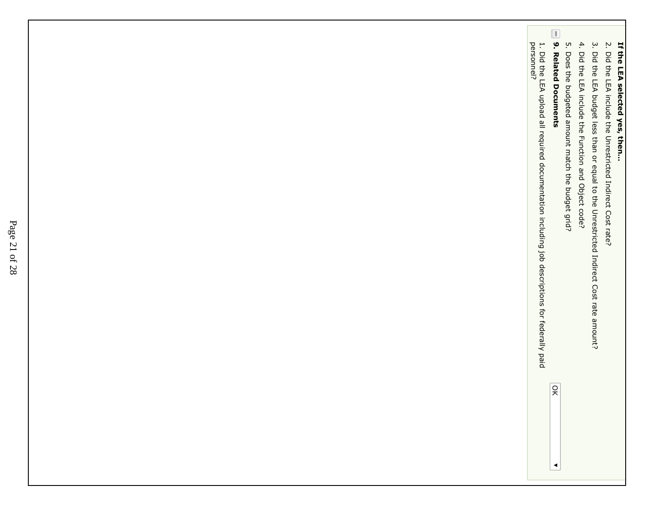- 3. Did the LEA budget less than or equal to the Unrestricted Indirect Cost rate amount? 3. Did the LEA budget less than or equal to the Unrestricted Indirect Cost rate amount?
- 4. Did the LEA include the Function and Object code? 4. Did the LEA include the Function and Object code;
- 5. Does the budgeted amount match the budget grid? 5. Does the budgeted amount match the budget grid?
- $\boxed{\mathbb{L}}$ 9. Related Documents **9. Related Documents**

1. Did the LEA upload all required documentation including job descriptions for federally paidpersonnel?1. Did the LEA upload all required documentation including job descriptions for federally paid<br>personnel?

 $\blacktriangleleft$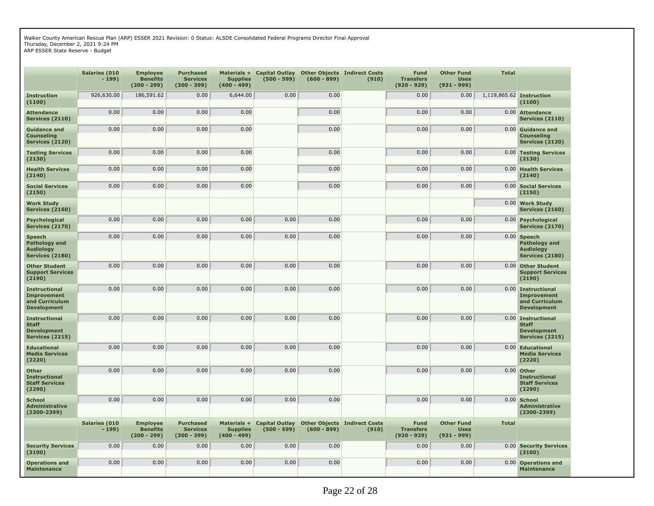Walker County American Rescue Plan (ARP) ESSER 2021 Revision: 0 Status: ALSDE Consolidated Federal Programs Director Final Approval Thursday, December 2, 2021 9:24 PM

ARP ESSER State Reserve - Budget

|                                                                                      | Salaries (010<br>$-199)$        | <b>Employee</b><br><b>Benefits</b><br>$(200 - 299)$ | <b>Purchased</b><br><b>Services</b><br>$(300 - 399)$ | Materials +<br><b>Supplies</b><br>$(400 - 499)$ | <b>Capital Outlay</b><br>$(500 - 599)$ | $(600 - 899)$ | <b>Other Objects Indirect Costs</b><br>(910) | <b>Fund</b><br><b>Transfers</b><br>$(920 - 929)$ | <b>Other Fund</b><br><b>Uses</b><br>$(931 - 999)$ | <b>Total</b> |                                                                                    |
|--------------------------------------------------------------------------------------|---------------------------------|-----------------------------------------------------|------------------------------------------------------|-------------------------------------------------|----------------------------------------|---------------|----------------------------------------------|--------------------------------------------------|---------------------------------------------------|--------------|------------------------------------------------------------------------------------|
| <b>Instruction</b><br>(1100)                                                         | 926,630.00                      | 186,591.62                                          | 0.00                                                 | 6,644.00                                        | 0.00                                   | 0.00          |                                              | 0.00                                             | 0.00                                              |              | 1,119,865.62 Instruction<br>(1100)                                                 |
| <b>Attendance</b><br><b>Services (2110)</b>                                          | 0.00                            | 0.00                                                | 0.00                                                 | 0.00                                            |                                        | 0.00          |                                              | 0.00                                             | 0.00                                              | 0.00         | <b>Attendance</b><br><b>Services (2110)</b>                                        |
| <b>Guidance and</b><br><b>Counseling</b><br>Services (2120)                          | 0.00                            | 0.00                                                | 0.00                                                 | 0.00                                            |                                        | 0.00          |                                              | 0.00                                             | 0.00                                              |              | 0.00 Guidance and<br>Counseling<br>Services (2120)                                 |
| <b>Testing Services</b><br>(2130)                                                    | 0.00                            | 0.00                                                | 0.00                                                 | 0.00                                            |                                        | 0.00          |                                              | 0.00                                             | 0.00                                              |              | 0.00 Testing Services<br>(2130)                                                    |
| <b>Health Services</b><br>(2140)                                                     | 0.00                            | 0.00                                                | 0.00                                                 | 0.00                                            |                                        | 0.00          |                                              | 0.00                                             | 0.00                                              |              | 0.00 Health Services<br>(2140)                                                     |
| <b>Social Services</b><br>(2150)                                                     | 0.00                            | 0.00                                                | 0.00                                                 | 0.00                                            |                                        | 0.00          |                                              | 0.00                                             | 0.00                                              |              | 0.00 Social Services<br>(2150)                                                     |
| <b>Work Study</b><br><b>Services (2160)</b>                                          |                                 |                                                     |                                                      |                                                 |                                        |               |                                              |                                                  |                                                   |              | 0.00 Work Study<br><b>Services (2160)</b>                                          |
| <b>Psychological</b><br><b>Services (2170)</b>                                       | 0.00                            | 0.00                                                | 0.00                                                 | 0.00                                            | 0.00                                   | 0.00          |                                              | 0.00                                             | 0.00                                              |              | 0.00 Psychological<br><b>Services (2170)</b>                                       |
| <b>Speech</b><br>Pathology and<br><b>Audiology</b><br><b>Services (2180)</b>         | 0.00                            | 0.00                                                | 0.00                                                 | 0.00                                            | 0.00                                   | 0.00          |                                              | 0.00                                             | 0.00                                              |              | $0.00$ Speech<br>Pathology and<br><b>Audiology</b><br><b>Services (2180)</b>       |
| <b>Other Student</b><br><b>Support Services</b><br>(2190)                            | 0.00                            | 0.00                                                | 0.00                                                 | 0.00                                            | 0.00                                   | 0.00          |                                              | 0.00                                             | 0.00                                              | 0.00         | <b>Other Student</b><br><b>Support Services</b><br>(2190)                          |
| <b>Instructional</b><br><b>Improvement</b><br>and Curriculum<br><b>Development</b>   | 0.00                            | 0.00                                                | 0.00                                                 | 0.00                                            | 0.00                                   | 0.00          |                                              | 0.00                                             | 0.00                                              |              | 0.00 Instructional<br><b>Improvement</b><br>and Curriculum<br><b>Development</b>   |
| <b>Instructional</b><br><b>Staff</b><br><b>Development</b><br><b>Services (2215)</b> | 0.00                            | 0.00                                                | 0.00                                                 | 0.00                                            | 0.00                                   | 0.00          |                                              | 0.00                                             | 0.00                                              |              | 0.00 Instructional<br><b>Staff</b><br><b>Development</b><br><b>Services (2215)</b> |
| <b>Educational</b><br><b>Media Services</b><br>(2220)                                | 0.00                            | 0.00                                                | 0.00                                                 | 0.00                                            | 0.00                                   | 0.00          |                                              | 0.00                                             | 0.00                                              |              | 0.00 Educational<br>Media Services<br>(2220)                                       |
| <b>Other</b><br><b>Instructional</b><br><b>Staff Services</b><br>(2290)              | 0.00                            | 0.00                                                | 0.00                                                 | 0.00                                            | 0.00                                   | 0.00          |                                              | 0.00                                             | 0.00                                              |              | 0.00 Other<br><b>Instructional</b><br><b>Staff Services</b><br>(2290)              |
| <b>School</b><br><b>Administrative</b><br>$(2300 - 2399)$                            | 0.00                            | 0.00                                                | 0.00                                                 | 0.00                                            | 0.00                                   | 0.00          |                                              | 0.00                                             | 0.00                                              |              | 0.00 School<br><b>Administrative</b><br>$(2300 - 2399)$                            |
|                                                                                      | <b>Salaries (010</b><br>$-199)$ | <b>Employee</b><br><b>Benefits</b><br>$(200 - 299)$ | <b>Purchased</b><br><b>Services</b><br>$(300 - 399)$ | Materials +<br><b>Supplies</b><br>$(400 - 499)$ | <b>Capital Outlay</b><br>$(500 - 599)$ | $(600 - 899)$ | <b>Other Objects Indirect Costs</b><br>(910) | <b>Fund</b><br><b>Transfers</b><br>$(920 - 929)$ | <b>Other Fund</b><br><b>Uses</b><br>$(931 - 999)$ | <b>Total</b> |                                                                                    |
| <b>Security Services</b><br>(3100)                                                   | 0.00                            | 0.00                                                | 0.00                                                 | 0.00                                            | 0.00                                   | 0.00          |                                              | 0.00                                             | 0.00                                              |              | 0.00 Security Services<br>(3100)                                                   |
| <b>Operations and</b><br><b>Maintenance</b>                                          | 0.00                            | 0.00                                                | 0.00                                                 | 0.00                                            | 0.00                                   | 0.00          |                                              | 0.00                                             | 0.00                                              |              | 0.00 Operations and<br><b>Maintenance</b>                                          |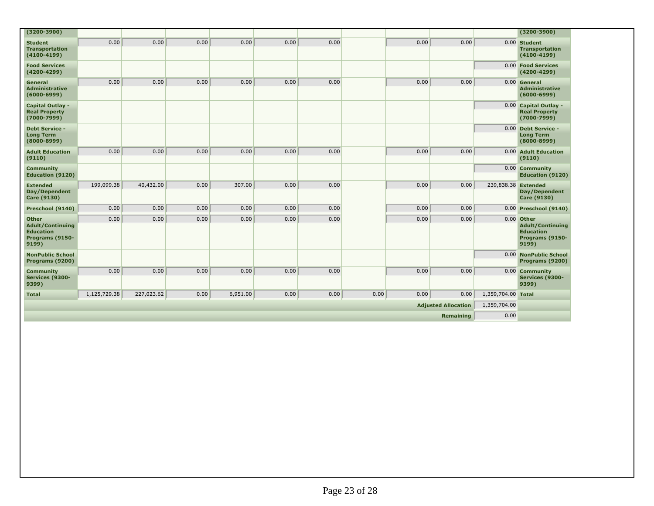| $(3200 - 3900)$                                                                         |              |            |      |          |      |      |      |              |           |                     | $(3200 - 3900)$                                                                       |
|-----------------------------------------------------------------------------------------|--------------|------------|------|----------|------|------|------|--------------|-----------|---------------------|---------------------------------------------------------------------------------------|
| <b>Student</b><br><b>Transportation</b><br>$(4100 - 4199)$                              | 0.00         | 0.00       | 0.00 | 0.00     | 0.00 | 0.00 |      | 0.00         | 0.00      |                     | 0.00 Student<br><b>Transportation</b><br>$(4100 - 4199)$                              |
| <b>Food Services</b><br>$(4200 - 4299)$                                                 |              |            |      |          |      |      |      |              |           |                     | 0.00 Food Services<br>$(4200 - 4299)$                                                 |
| General<br><b>Administrative</b><br>$(6000 - 6999)$                                     | 0.00         | 0.00       | 0.00 | 0.00     | 0.00 | 0.00 |      | 0.00         | 0.00      |                     | 0.00 General<br><b>Administrative</b><br>$(6000 - 6999)$                              |
| <b>Capital Outlay -</b><br><b>Real Property</b><br>$(7000 - 7999)$                      |              |            |      |          |      |      |      |              |           |                     | 0.00 Capital Outlay -<br><b>Real Property</b><br>$(7000 - 7999)$                      |
| <b>Debt Service -</b><br><b>Long Term</b><br>$(8000 - 8999)$                            |              |            |      |          |      |      |      |              |           |                     | 0.00 Debt Service -<br><b>Long Term</b><br>$(8000 - 8999)$                            |
| <b>Adult Education</b><br>(9110)                                                        | 0.00         | 0.00       | 0.00 | 0.00     | 0.00 | 0.00 |      | 0.00         | 0.00      |                     | 0.00 Adult Education<br>(9110)                                                        |
| <b>Community</b><br><b>Education (9120)</b>                                             |              |            |      |          |      |      |      |              |           |                     | 0.00 Community<br><b>Education (9120)</b>                                             |
| <b>Extended</b><br>Day/Dependent<br><b>Care (9130)</b>                                  | 199,099.38   | 40,432.00  | 0.00 | 307.00   | 0.00 | 0.00 |      | 0.00         | 0.00      | 239,838.38 Extended | Day/Dependent<br><b>Care (9130)</b>                                                   |
| Preschool (9140)                                                                        | 0.00         | 0.00       | 0.00 | 0.00     | 0.00 | 0.00 |      | 0.00         | 0.00      |                     | 0.00 Preschool (9140)                                                                 |
| <b>Other</b><br><b>Adult/Continuing</b><br><b>Education</b><br>Programs (9150-<br>9199) | 0.00         | 0.00       | 0.00 | 0.00     | 0.00 | 0.00 |      | 0.00         | 0.00      |                     | 0.00 Other<br><b>Adult/Continuing</b><br><b>Education</b><br>Programs (9150-<br>9199) |
| <b>NonPublic School</b><br>Programs (9200)                                              |              |            |      |          |      |      |      |              |           |                     | 0.00 NonPublic School<br>Programs (9200)                                              |
| <b>Community</b><br>Services (9300-<br>9399)                                            | 0.00         | 0.00       | 0.00 | 0.00     | 0.00 | 0.00 |      | 0.00         | 0.00      |                     | 0.00 Community<br>Services (9300-<br>9399)                                            |
| <b>Total</b>                                                                            | 1,125,729.38 | 227,023.62 | 0.00 | 6,951.00 | 0.00 | 0.00 | 0.00 | 0.00         | 0.00      | 1,359,704.00 Total  |                                                                                       |
| <b>Adjusted Allocation</b>                                                              |              |            |      |          |      |      |      | 1,359,704.00 |           |                     |                                                                                       |
|                                                                                         |              |            |      |          |      |      |      |              | Remaining | 0.00                |                                                                                       |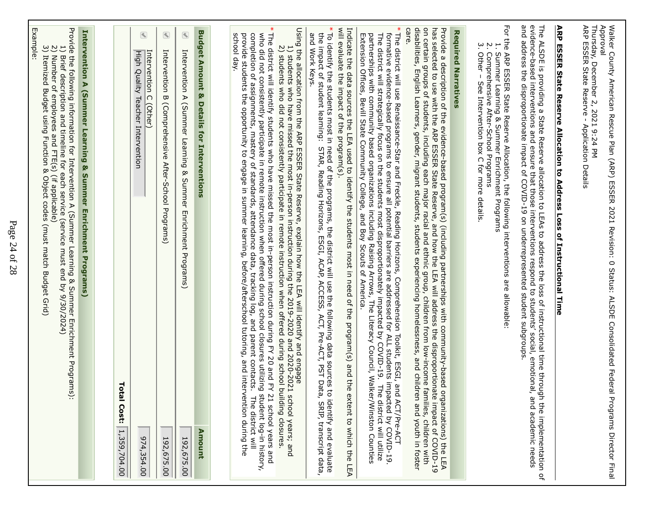| Number of employees and FTE(s) (if applicable)<br>Itemized Budget using Function & Object codes<br>(must match Budget Grid)                                                                                                                                                                                                                                                                                                                                                                                                                                                                                                                                                                                                                                                                                                                                                          | Example:                                                              |
|--------------------------------------------------------------------------------------------------------------------------------------------------------------------------------------------------------------------------------------------------------------------------------------------------------------------------------------------------------------------------------------------------------------------------------------------------------------------------------------------------------------------------------------------------------------------------------------------------------------------------------------------------------------------------------------------------------------------------------------------------------------------------------------------------------------------------------------------------------------------------------------|-----------------------------------------------------------------------|
| Provide the following information for Intervention A (Summer Learning & Summer Enrichment Programs<br>Brief description and timeline for each service (service must end by 9/30/2024)<br>$\check{.}$                                                                                                                                                                                                                                                                                                                                                                                                                                                                                                                                                                                                                                                                                 | $\frac{1}{2}$                                                         |
| <b>Intervention A (Summer Learning &amp; Summer Enrichment Programs)</b>                                                                                                                                                                                                                                                                                                                                                                                                                                                                                                                                                                                                                                                                                                                                                                                                             |                                                                       |
|                                                                                                                                                                                                                                                                                                                                                                                                                                                                                                                                                                                                                                                                                                                                                                                                                                                                                      |                                                                       |
| Tot<br>al Cost:<br>1,359,704.00                                                                                                                                                                                                                                                                                                                                                                                                                                                                                                                                                                                                                                                                                                                                                                                                                                                      |                                                                       |
| High Quality Teacher Intervention<br>974,354.00                                                                                                                                                                                                                                                                                                                                                                                                                                                                                                                                                                                                                                                                                                                                                                                                                                      | $\bigcirc$<br>Intervention C (Other)                                  |
| (Comprehensive<br>After-School Programs)<br>192,675.00                                                                                                                                                                                                                                                                                                                                                                                                                                                                                                                                                                                                                                                                                                                                                                                                                               | $\left( \begin{matrix} 4 \\ 3 \end{matrix} \right)$<br>Intervention B |
| Intervention A (Summer Learning & Summer Enrichment Programs)<br>192,675.00                                                                                                                                                                                                                                                                                                                                                                                                                                                                                                                                                                                                                                                                                                                                                                                                          | $\bigcirc$                                                            |
| œ<br>Details for Interventions<br>Amount                                                                                                                                                                                                                                                                                                                                                                                                                                                                                                                                                                                                                                                                                                                                                                                                                                             | <b>Budget Amount</b>                                                  |
|                                                                                                                                                                                                                                                                                                                                                                                                                                                                                                                                                                                                                                                                                                                                                                                                                                                                                      |                                                                       |
| Using the allocation from the ARP ESSER State Reserve, explain how the LEA will identify and engage<br>The district will identify students who have missed the most in-person instruction during FY 20 and FY<br>who did not consistently participate in remote instruction when offered during school closures utilizing student log-in history.<br>connects; mastern of assignments, matery of standance data, tracking log, and parent contaction of and parent connects;<br>2) students who did not consistently participate in remote instruction when offered during school building closures.<br>1) students who have missed the most in-person instruction during the 2019-2020 and 2020-2021<br>the opportunity to engage in summer learning, before/afterschool tutoring, and interv<br>21 school years and<br>school years; and<br>ention during the<br>The district will | school day.<br>provide students                                       |
| To identify the students most in need of the programs, the district will use the following data sources to identify and evaluate<br>the impact of student learning: STAR, Reading Horizons, ESGI, ACAP, ACCESS, ACT, Pre-ACT, PST                                                                                                                                                                                                                                                                                                                                                                                                                                                                                                                                                                                                                                                    | $\ast$<br>and Work Keys.                                              |
| will evaluate the impact of the program(s).<br>Indicate the data sources the LEA used to identify the students most in need of the program(s) and the extent to which the LEA                                                                                                                                                                                                                                                                                                                                                                                                                                                                                                                                                                                                                                                                                                        |                                                                       |
| The district will use Renaissance-Star and Freckle, Reading Horizons, Comprehension Toolkit, ESGI, and<br>formative evidence-based programs to ensure all potential barriers are addressed for ALL students impacted by COVID-19<br>The district will strategically focus on the students most disproportionately impacted by COVID-19. The<br>partnerships with community based organizations including Raising Arrows,<br>Extension Offices, Bevill State Community College, and Boy Scouts of America.<br>The Literacy Council, Walker/Winston Counties<br>ACT/Pre-ACT                                                                                                                                                                                                                                                                                                            |                                                                       |
| disabilities, English Learners, gender, migrant students students experiencing homelessness, and childre<br>on certain groups of students, including each major racial and ethnic group, children from low-income families, children with<br>vide a description of the evidence-based program(s) (including partnerships with community-based organizations) the LEA<br>selected to use with the ARP ESSER State Reserve, and how the LEA will address the disproportionate im<br>in and youth in foster                                                                                                                                                                                                                                                                                                                                                                             | care.<br>has<br>Provide                                               |
|                                                                                                                                                                                                                                                                                                                                                                                                                                                                                                                                                                                                                                                                                                                                                                                                                                                                                      | <b>Required Narratives</b>                                            |
| For the ARP ESSER State Reserve Allocation, the following interventions are allowable:<br>Comprehensive After-School Programs<br>Summer Learning & Summer Enrichment Programs<br>See Intervention box C for Hore details                                                                                                                                                                                                                                                                                                                                                                                                                                                                                                                                                                                                                                                             | ب<br>Ņ<br>Other-                                                      |
| and address the disproportionate impact of COVID-19 on underrepresented student subgroups<br>evidence-based interventions and ensure that those interventions respond to students' social, emotional,<br>The ALSDE is providing a State Reserve allocation to LEAs to address the loss of instructional time through the implementation of<br>and academic needs                                                                                                                                                                                                                                                                                                                                                                                                                                                                                                                     |                                                                       |
| ARP ESSER State Reserve Allocation to Address Loss of Instructional Time                                                                                                                                                                                                                                                                                                                                                                                                                                                                                                                                                                                                                                                                                                                                                                                                             |                                                                       |
| Thursday, December 2, 2021 9:24 PM<br>ARP ESSER State Reserve - Application Details<br>Walker Courty American Reaculated Federal STON TARP) ESSER 2021 Revision: 0 Status: ALSDE Consolidated Federal<br><b>Programs Director Final</b>                                                                                                                                                                                                                                                                                                                                                                                                                                                                                                                                                                                                                                              | Approval                                                              |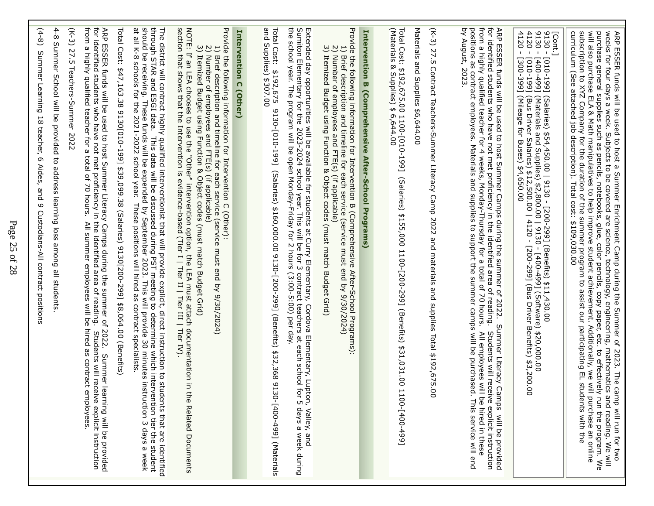| from<br>4-8 Summer School will be provided to address learning loss among all students<br>$(K-3)$ 27.5<br>tor identified atreap of a payer payer para the identifient are along the source of the pridi-<br>ARP ESSER funds will be used to host Summer Literacy Camps during the summer of 2022. Summer lea<br>$(4-8)$<br>a highly qualified teacher for a total of 70 hours.<br>Summer Learning 18 teacher,<br>Teachers-Summer 2022<br>6 Aides, and 9 Custodians-All contract positions<br>All summer employees will be hired as contract e<br>Students will receive explicit instruction<br>mployees<br>ming will be provided                                                                                                     |
|--------------------------------------------------------------------------------------------------------------------------------------------------------------------------------------------------------------------------------------------------------------------------------------------------------------------------------------------------------------------------------------------------------------------------------------------------------------------------------------------------------------------------------------------------------------------------------------------------------------------------------------------------------------------------------------------------------------------------------------|
| The district will contract highly qualified interventionist that will provide explicit, direct instruction to students that are identifie<br>through STAR and ESGI data. This data will be discussed during PST meeting to determ<br>should be receiving. These funds will be expended by September 2023. This will provide 30 minutes instruction 3 days a week<br>at all K-8 schools for the 2021-2022 school year. These positions will hired as contract specialis<br>Total Cost: \$47,163.38 9130[010-199] \$39,099.38 (Salaries) 9130[200-299] \$8,064.00 (Benefits)<br>ents that are identified                                                                                                                               |
| NOTE: If an LEA chooses to use the "Other" intervention option, the LEA must attach documentation in the Related Documents<br>section that shows that the Intervention is evidence-based (Tier I   Tier II   Tier III   Tier IV).<br>Provide the following information for Intervention C (Other):<br>3) Itemized Budget using Function & Object codes (must match Budget Grid)<br>1) Brief description and timeline for each service (s<br>2) Number of employees and FTE(s) (if applicable)<br>Brief description and timeline for each service (service must end by 9/30/2024)                                                                                                                                                     |
| Intervention C (Other)                                                                                                                                                                                                                                                                                                                                                                                                                                                                                                                                                                                                                                                                                                               |
| Total Cost:<br>and Supplies) \$307.00<br>\$192,675<br>9130-[010-199] (Salaries) \$160,000.00 9130-2992 [200-299] (Benefits) \$32,368 9130-[400-499] (Materials                                                                                                                                                                                                                                                                                                                                                                                                                                                                                                                                                                       |
| Extended day opportunities will be available for students at Curry Elementary, Cordova Elementary, Lupton, Valley, and<br>Sumiton Elementary for the 2023-2024 school year. This will be for 3 contract teachers at each school f                                                                                                                                                                                                                                                                                                                                                                                                                                                                                                    |
| Provide the following information for Intervention B (Comprehensive After-School Programs).<br>2) Number of employees and FTE(s) (if applicable)<br>3) Itemized Budget using Function & Object codes (must match Budget Grid)<br>$\overline{\overline{C}}$<br>Brief description and timeline for each service (service must end by 9/30/2024)                                                                                                                                                                                                                                                                                                                                                                                        |
| <b>Intervention B (Comprehensive After-School Programs)</b>                                                                                                                                                                                                                                                                                                                                                                                                                                                                                                                                                                                                                                                                          |
| Total Cost: \$192,675.00 1100-[010-199]<br>(Materials & Supplies) \$ 6,644.00<br>(Salaries) \$155,000 1100-[200-299] (Benefits) \$31,031.00 11<br>$[66t-00t]$ -00                                                                                                                                                                                                                                                                                                                                                                                                                                                                                                                                                                    |
| Materials and Supplies \$6,644.00                                                                                                                                                                                                                                                                                                                                                                                                                                                                                                                                                                                                                                                                                                    |
| (K-3) 27.5 Contract Teachers-Summer Literacy Camp 2022 and materials and supplies Total \$192,675.00                                                                                                                                                                                                                                                                                                                                                                                                                                                                                                                                                                                                                                 |
| for identified students who have not met proficiency in the identified area of reading.<br>from a highly qualified teacher for 4 weeks, Monday-Thursday for a total of 70 hours.<br>ARP ESSER funds will be used to host Summer Camps during the summer of 2022.<br>by August, 2023.<br>positions as contract employees. Materials and supplies to support the summer camps will be purchased<br>Summer Literacy Camps<br>Students will receive explicit instruction<br>All employees will<br>be hired in these<br>This service will end<br>will be provided                                                                                                                                                                         |
| $-0130 -$<br>[Cont.]<br>9130 -  <br>4120 -<br>4120 -<br>$[66b - 00b]$<br>[010-199] (Bus Driver Salaries) \$12,500.<br>[300-399] (Mileage for Buses) \$4,650.00<br>[010-199] (Salaries) \$54,450.00   9130 - [200-299] (Benefits) \$11,430.00<br>(Materials and Supplies) \$2,800.00   9130 - [400-499] (Software) \$20,000.00<br>(Bus Driver Salaries) \$12,500.00   4120 - [200-299] (Bus Driver Benefits) \$3,200.00                                                                                                                                                                                                                                                                                                               |
| subscription to XYZ Company for the duration of the summer program to assist our participating EL stud<br>curriculum (See attached job description).<br>will also burchase ELA & Matrichianum Additional company of the student achieverne chieve member. Additionally $\sim$ will also<br>purchase general supplies such as pencils, notebooks, glue, color pencils, copy paper, etc. to effectively<br>ARP ESSER funds will be used to host a Summer Enrichment Camp during the Summer of 2023. The camp will run for two<br>weeks for four days a week. Subjects to be covered are science, technology, engineering, mathematics and re<br>Total cost: \$109,030.00<br>ents with the<br>purchase an online<br>run the program. We |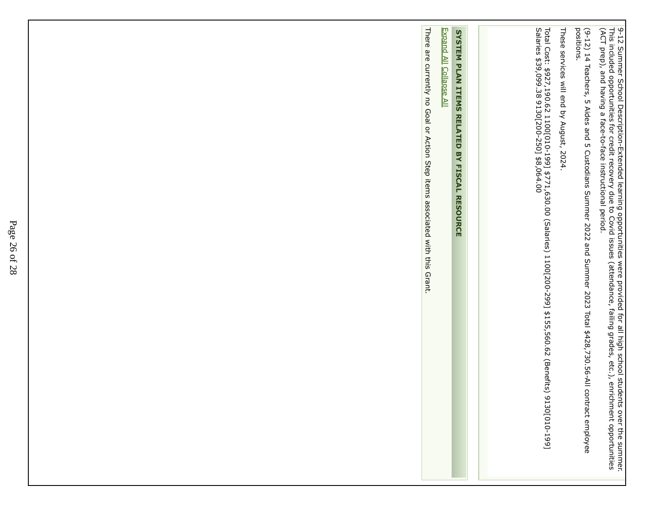9-12 Summer School Description-Extended learning opportunities were provided for all high school students over the summer. This included opportunities for credit recovery due to Covid issues (attendance, failing grades, etc.), enrichment opportunities(ACT prep), and having a face-to-face instructional period.

(9-12) 14 Teachers, 5 Aides and 5 Custodians Summer 2022 and Summer 2023 Total \$428,730.56-All contract employee(9-12) 14 Teachers, 5 Aides and 5 Custodians Summer 2022 and Summer 2023 Total \$428,730.56-All contract employee<br>positions.

These services will end bThese services will end by August, 2024. y August, 2024.

Total Cost: \$927,190.62 1100[010-199] \$771,630.00 (Salaries) 1100[200-299] \$155,560.62 (Benefits) 9130[010-199]Salaries \$39,099.38 9130[200-250] \$8,064.00Total Cost: \$927,190.62 1100[010-199] \$771,630.00 (Salaries) 1100[200-299] \$155,560.62 (Benefits) 9130[010-199]<br>Salaries \$39,099.38 9130[200-250] \$8,064.00

# SYSTEM PLAN ITEMS **SYSTEM PLAN ITEMS RELATED BY FISCAL RESOURCE**RELATED BY FISCAL RESOURCE

Expand AllExpand All Collapse All Collapse All

There are currently no Goal or Action Step items associated with this Grant. There are currently no Goal or Action Step items associated with this Grant.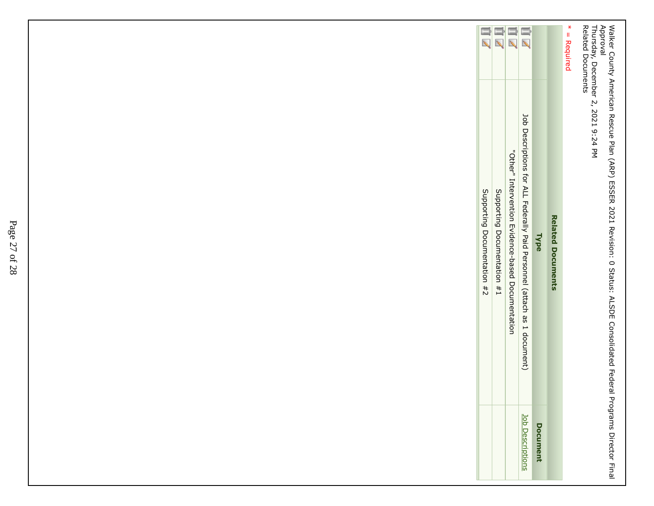Walker County American Rescue Plan (ARP) ESSER 2021 Revision: 0 Status: ALSDE Consolidated Federal Programs Director FinalApproval Thursday, December 2, 2021 9:24 PM

Related Documents

| Supporting Documentation #1 | 山 | 山<br>"Other" Intervention myidence-based Documentation | 山く<br>Job Descriptions for ALL Federally Paid Personnel (attach as 1 document) | Type            | <b>Related Documents</b> | $*$ = Required |
|-----------------------------|---|--------------------------------------------------------|--------------------------------------------------------------------------------|-----------------|--------------------------|----------------|
|                             |   |                                                        | <b>Job Description</b>                                                         | <b>Document</b> |                          |                |